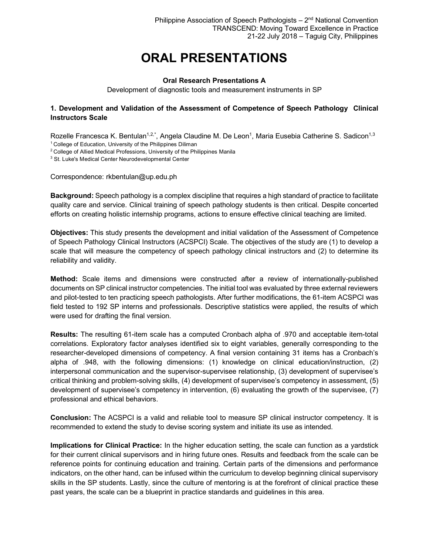# **ORAL PRESENTATIONS**

#### **Oral Research Presentations A**

Development of diagnostic tools and measurement instruments in SP

#### **1. Development and Validation of the Assessment of Competence of Speech Pathology Clinical Instructors Scale**

Rozelle Francesca K. Bentulan<sup>1,2,\*</sup>, Angela Claudine M. De Leon<sup>1</sup>, Maria Eusebia Catherine S. Sadicon<sup>1,3</sup>

<sup>1</sup> College of Education, University of the Philippines Diliman

<sup>2</sup> College of Allied Medical Professions, University of the Philippines Manila

<sup>3</sup> St. Luke's Medical Center Neurodevelopmental Center

Correspondence: rkbentulan@up.edu.ph

**Background:** Speech pathology is a complex discipline that requires a high standard of practice to facilitate quality care and service. Clinical training of speech pathology students is then critical. Despite concerted efforts on creating holistic internship programs, actions to ensure effective clinical teaching are limited.

**Objectives:** This study presents the development and initial validation of the Assessment of Competence of Speech Pathology Clinical Instructors (ACSPCI) Scale. The objectives of the study are (1) to develop a scale that will measure the competency of speech pathology clinical instructors and (2) to determine its reliability and validity.

**Method:** Scale items and dimensions were constructed after a review of internationally-published documents on SP clinical instructor competencies. The initial tool was evaluated by three external reviewers and pilot-tested to ten practicing speech pathologists. After further modifications, the 61-item ACSPCI was field tested to 192 SP interns and professionals. Descriptive statistics were applied, the results of which were used for drafting the final version.

**Results:** The resulting 61-item scale has a computed Cronbach alpha of .970 and acceptable item-total correlations. Exploratory factor analyses identified six to eight variables, generally corresponding to the researcher-developed dimensions of competency. A final version containing 31 items has a Cronbach's alpha of .948, with the following dimensions: (1) knowledge on clinical education/instruction, (2) interpersonal communication and the supervisor-supervisee relationship, (3) development of supervisee's critical thinking and problem-solving skills, (4) development of supervisee's competency in assessment, (5) development of supervisee's competency in intervention, (6) evaluating the growth of the supervisee, (7) professional and ethical behaviors.

**Conclusion:** The ACSPCI is a valid and reliable tool to measure SP clinical instructor competency. It is recommended to extend the study to devise scoring system and initiate its use as intended.

**Implications for Clinical Practice:** In the higher education setting, the scale can function as a yardstick for their current clinical supervisors and in hiring future ones. Results and feedback from the scale can be reference points for continuing education and training. Certain parts of the dimensions and performance indicators, on the other hand, can be infused within the curriculum to develop beginning clinical supervisory skills in the SP students. Lastly, since the culture of mentoring is at the forefront of clinical practice these past years, the scale can be a blueprint in practice standards and guidelines in this area.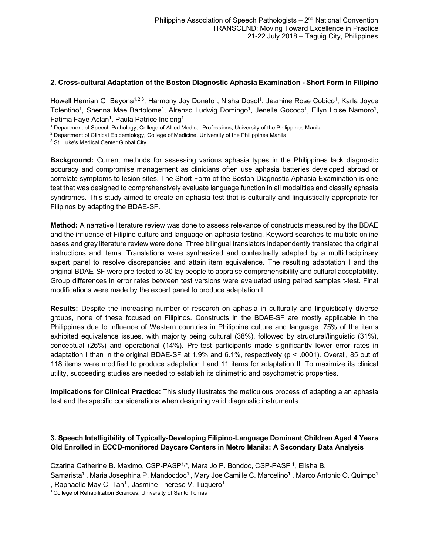#### **2. Cross-cultural Adaptation of the Boston Diagnostic Aphasia Examination - Short Form in Filipino**

Howell Henrian G. Bayona<sup>1,2,3</sup>, Harmony Joy Donato<sup>1</sup>, Nisha Dosol<sup>1</sup>, Jazmine Rose Cobico<sup>1</sup>, Karla Joyce Tolentino<sup>1</sup>, Shenna Mae Bartolome<sup>1</sup>, Alrenzo Ludwig Domingo<sup>1</sup>, Jenelle Gococo<sup>1</sup>, Ellyn Loise Namoro<sup>1</sup>, Fatima Faye Aclan<sup>1</sup>, Paula Patrice Inciong<sup>1</sup>

<sup>1</sup> Department of Speech Pathology, College of Allied Medical Professions, University of the Philippines Manila

<sup>2</sup> Department of Clinical Epidemiology, College of Medicine, University of the Philippines Manila

<sup>3</sup> St. Luke's Medical Center Global City

**Background:** Current methods for assessing various aphasia types in the Philippines lack diagnostic accuracy and compromise management as clinicians often use aphasia batteries developed abroad or correlate symptoms to lesion sites. The Short Form of the Boston Diagnostic Aphasia Examination is one test that was designed to comprehensively evaluate language function in all modalities and classify aphasia syndromes. This study aimed to create an aphasia test that is culturally and linguistically appropriate for Filipinos by adapting the BDAE-SF.

**Method:** A narrative literature review was done to assess relevance of constructs measured by the BDAE and the influence of Filipino culture and language on aphasia testing. Keyword searches to multiple online bases and grey literature review were done. Three bilingual translators independently translated the original instructions and items. Translations were synthesized and contextually adapted by a multidisciplinary expert panel to resolve discrepancies and attain item equivalence. The resulting adaptation I and the original BDAE-SF were pre-tested to 30 lay people to appraise comprehensibility and cultural acceptability. Group differences in error rates between test versions were evaluated using paired samples t-test. Final modifications were made by the expert panel to produce adaptation II.

**Results:** Despite the increasing number of research on aphasia in culturally and linguistically diverse groups, none of these focused on Filipinos. Constructs in the BDAE-SF are mostly applicable in the Philippines due to influence of Western countries in Philippine culture and language. 75% of the items exhibited equivalence issues, with majority being cultural (38%), followed by structural/linguistic (31%), conceptual (26%) and operational (14%). Pre-test participants made significantly lower error rates in adaptation I than in the original BDAE-SF at 1.9% and 6.1%, respectively (p < .0001). Overall, 85 out of 118 items were modified to produce adaptation I and 11 items for adaptation II. To maximize its clinical utility, succeeding studies are needed to establish its clinimetric and psychometric properties.

**Implications for Clinical Practice:** This study illustrates the meticulous process of adapting a an aphasia test and the specific considerations when designing valid diagnostic instruments.

# **3. Speech Intelligibility of Typically-Developing Filipino-Language Dominant Children Aged 4 Years Old Enrolled in ECCD-monitored Daycare Centers in Metro Manila: A Secondary Data Analysis**

Czarina Catherine B. Maximo, CSP-PASP<sup>1,\*</sup>, Mara Jo P. Bondoc, CSP-PASP<sup>1</sup>, Elisha B.

Samarista<sup>1</sup>, Maria Josephina P. Mandocdoc<sup>1</sup>, Mary Joe Camille C. Marcelino<sup>1</sup>, Marco Antonio O. Quimpo<sup>1</sup> , Raphaelle May C. Tan<sup>1</sup>, Jasmine Therese V. Tuquero<sup>1</sup>

<sup>1</sup> College of Rehabilitation Sciences, University of Santo Tomas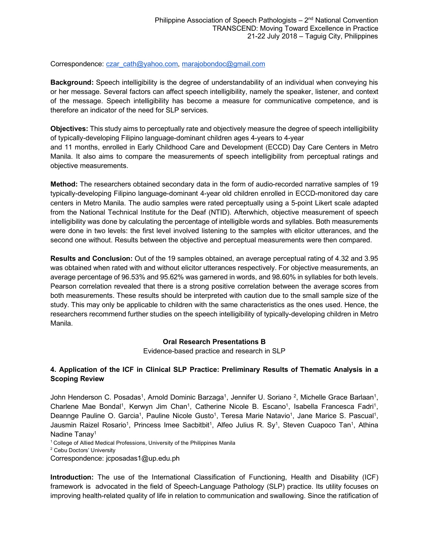#### Correspondence: czar\_cath@yahoo.com, marajobondoc@gmail.com

**Background:** Speech intelligibility is the degree of understandability of an individual when conveying his or her message. Several factors can affect speech intelligibility, namely the speaker, listener, and context of the message. Speech intelligibility has become a measure for communicative competence, and is therefore an indicator of the need for SLP services.

**Objectives:** This study aims to perceptually rate and objectively measure the degree of speech intelligibility of typically-developing Filipino language-dominant children ages 4-years to 4-year and 11 months, enrolled in Early Childhood Care and Development (ECCD) Day Care Centers in Metro Manila. It also aims to compare the measurements of speech intelligibility from perceptual ratings and objective measurements.

**Method:** The researchers obtained secondary data in the form of audio-recorded narrative samples of 19 typically-developing Filipino language-dominant 4-year old children enrolled in ECCD-monitored day care centers in Metro Manila. The audio samples were rated perceptually using a 5-point Likert scale adapted from the National Technical Institute for the Deaf (NTID). Afterwhich, objective measurement of speech intelligibility was done by calculating the percentage of intelligible words and syllables. Both measurements were done in two levels: the first level involved listening to the samples with elicitor utterances, and the second one without. Results between the objective and perceptual measurements were then compared.

**Results and Conclusion:** Out of the 19 samples obtained, an average perceptual rating of 4.32 and 3.95 was obtained when rated with and without elicitor utterances respectively. For objective measurements, an average percentage of 96.53% and 95.62% was garnered in words, and 98.60% in syllables for both levels. Pearson correlation revealed that there is a strong positive correlation between the average scores from both measurements. These results should be interpreted with caution due to the small sample size of the study. This may only be applicable to children with the same characteristics as the ones used. Hence, the researchers recommend further studies on the speech intelligibility of typically-developing children in Metro Manila.

#### **Oral Research Presentations B**

Evidence-based practice and research in SLP

#### **4. Application of the ICF in Clinical SLP Practice: Preliminary Results of Thematic Analysis in a Scoping Review**

John Henderson C. Posadas<sup>1</sup>, Arnold Dominic Barzaga<sup>1</sup>, Jennifer U. Soriano <sup>2</sup>, Michelle Grace Barlaan<sup>1</sup>, Charlene Mae Bondal<sup>1</sup>, Kerwyn Jim Chan<sup>1</sup>, Catherine Nicole B. Escano<sup>1</sup>, Isabella Francesca Fadri<sup>1</sup>, Deannge Pauline O. Garcia<sup>1</sup>, Pauline Nicole Gusto<sup>1</sup>, Teresa Marie Natavio<sup>1</sup>, Jane Marice S. Pascual<sup>1</sup>, Jausmin Raizel Rosario<sup>1</sup>, Princess Imee Sacbitbit<sup>1</sup>, Alfeo Julius R. Sy<sup>1</sup>, Steven Cuapoco Tan<sup>1</sup>, Athina Nadine Tanav<sup>1</sup>

<sup>1</sup> College of Allied Medical Professions, University of the Philippines Manila

<sup>2</sup> Cebu Doctors' University

Correspondence: jcposadas1@up.edu.ph

**Introduction:** The use of the International Classification of Functioning, Health and Disability (ICF) framework is advocated in the field of Speech-Language Pathology (SLP) practice. Its utility focuses on improving health-related quality of life in relation to communication and swallowing. Since the ratification of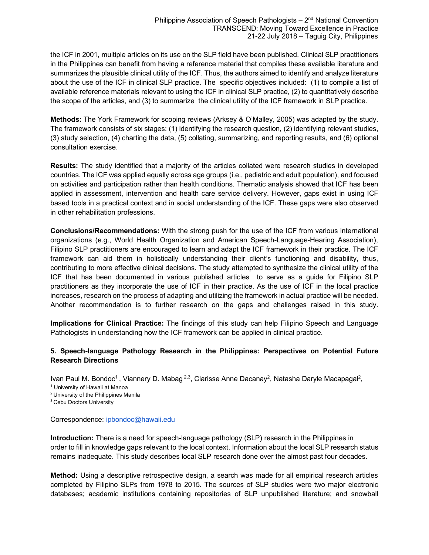the ICF in 2001, multiple articles on its use on the SLP field have been published. Clinical SLP practitioners in the Philippines can benefit from having a reference material that compiles these available literature and summarizes the plausible clinical utility of the ICF. Thus, the authors aimed to identify and analyze literature about the use of the ICF in clinical SLP practice. The specific objectives included: (1) to compile a list of available reference materials relevant to using the ICF in clinical SLP practice, (2) to quantitatively describe the scope of the articles, and (3) to summarize the clinical utility of the ICF framework in SLP practice.

**Methods:** The York Framework for scoping reviews (Arksey & O'Malley, 2005) was adapted by the study. The framework consists of six stages: (1) identifying the research question, (2) identifying relevant studies, (3) study selection, (4) charting the data, (5) collating, summarizing, and reporting results, and (6) optional consultation exercise.

**Results:** The study identified that a majority of the articles collated were research studies in developed countries. The ICF was applied equally across age groups (i.e., pediatric and adult population), and focused on activities and participation rather than health conditions. Thematic analysis showed that ICF has been applied in assessment, intervention and health care service delivery. However, gaps exist in using ICF based tools in a practical context and in social understanding of the ICF. These gaps were also observed in other rehabilitation professions.

**Conclusions/Recommendations:** With the strong push for the use of the ICF from various international organizations (e.g., World Health Organization and American Speech-Language-Hearing Association), Filipino SLP practitioners are encouraged to learn and adapt the ICF framework in their practice. The ICF framework can aid them in holistically understanding their client's functioning and disability, thus, contributing to more effective clinical decisions. The study attempted to synthesize the clinical utility of the ICF that has been documented in various published articles to serve as a guide for Filipino SLP practitioners as they incorporate the use of ICF in their practice. As the use of ICF in the local practice increases, research on the process of adapting and utilizing the framework in actual practice will be needed. Another recommendation is to further research on the gaps and challenges raised in this study.

**Implications for Clinical Practice:** The findings of this study can help Filipino Speech and Language Pathologists in understanding how the ICF framework can be applied in clinical practice.

# **5. Speech-language Pathology Research in the Philippines: Perspectives on Potential Future Research Directions**

Ivan Paul M. Bondoc<sup>1</sup> , Viannery D. Mabag<sup>2,3</sup>, Clarisse Anne Dacanay<sup>2</sup>, Natasha Daryle Macapagal<sup>2</sup>,<br><sup>1</sup> University of Hawaii at Manoa

2 University of the Philippines Manila

<sup>3</sup> Cebu Doctors University

Correspondence: ipbondoc@hawaii.edu

**Introduction:** There is a need for speech-language pathology (SLP) research in the Philippines in order to fill in knowledge gaps relevant to the local context. Information about the local SLP research status remains inadequate. This study describes local SLP research done over the almost past four decades.

**Method:** Using a descriptive retrospective design, a search was made for all empirical research articles completed by Filipino SLPs from 1978 to 2015. The sources of SLP studies were two major electronic databases; academic institutions containing repositories of SLP unpublished literature; and snowball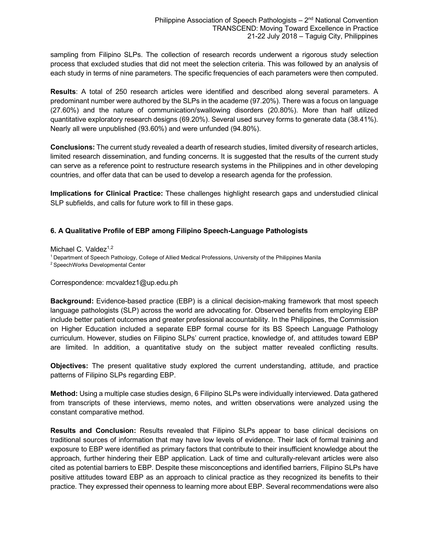sampling from Filipino SLPs. The collection of research records underwent a rigorous study selection process that excluded studies that did not meet the selection criteria. This was followed by an analysis of each study in terms of nine parameters. The specific frequencies of each parameters were then computed.

**Results**: A total of 250 research articles were identified and described along several parameters. A predominant number were authored by the SLPs in the academe (97.20%). There was a focus on language (27.60%) and the nature of communication/swallowing disorders (20.80%). More than half utilized quantitative exploratory research designs (69.20%). Several used survey forms to generate data (38.41%). Nearly all were unpublished (93.60%) and were unfunded (94.80%).

**Conclusions:** The current study revealed a dearth of research studies, limited diversity of research articles, limited research dissemination, and funding concerns. It is suggested that the results of the current study can serve as a reference point to restructure research systems in the Philippines and in other developing countries, and offer data that can be used to develop a research agenda for the profession.

**Implications for Clinical Practice:** These challenges highlight research gaps and understudied clinical SLP subfields, and calls for future work to fill in these gaps.

# **6. A Qualitative Profile of EBP among Filipino Speech-Language Pathologists**

Michael C. Valdez $1,2$ 

1 Department of Speech Pathology, College of Allied Medical Professions, University of the Philippines Manila

2 SpeechWorks Developmental Center

Correspondence: mcvaldez1@up.edu.ph

**Background:** Evidence-based practice (EBP) is a clinical decision-making framework that most speech language pathologists (SLP) across the world are advocating for. Observed benefits from employing EBP include better patient outcomes and greater professional accountability. In the Philippines, the Commission on Higher Education included a separate EBP formal course for its BS Speech Language Pathology curriculum. However, studies on Filipino SLPs' current practice, knowledge of, and attitudes toward EBP are limited. In addition, a quantitative study on the subject matter revealed conflicting results.

**Objectives:** The present qualitative study explored the current understanding, attitude, and practice patterns of Filipino SLPs regarding EBP.

**Method:** Using a multiple case studies design, 6 Filipino SLPs were individually interviewed. Data gathered from transcripts of these interviews, memo notes, and written observations were analyzed using the constant comparative method.

**Results and Conclusion:** Results revealed that Filipino SLPs appear to base clinical decisions on traditional sources of information that may have low levels of evidence. Their lack of formal training and exposure to EBP were identified as primary factors that contribute to their insufficient knowledge about the approach, further hindering their EBP application. Lack of time and culturally-relevant articles were also cited as potential barriers to EBP. Despite these misconceptions and identified barriers, Filipino SLPs have positive attitudes toward EBP as an approach to clinical practice as they recognized its benefits to their practice. They expressed their openness to learning more about EBP. Several recommendations were also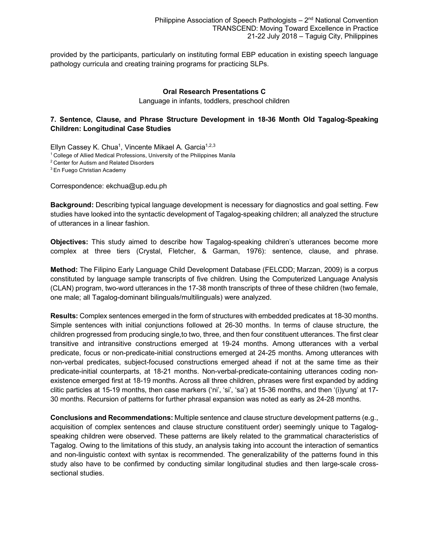provided by the participants, particularly on instituting formal EBP education in existing speech language pathology curricula and creating training programs for practicing SLPs.

#### **Oral Research Presentations C**

Language in infants, toddlers, preschool children

# **7. Sentence, Clause, and Phrase Structure Development in 18-36 Month Old Tagalog-Speaking Children: Longitudinal Case Studies**

Ellyn Cassey K. Chua<sup>1</sup>, Vincente Mikael A. Garcia<sup>1,2,3</sup> <sup>1</sup> College of Allied Medical Professions, University of the Philippines Manila 2 Center for Autism and Related Disorders

<sup>3</sup> En Fuego Christian Academy

Correspondence: ekchua@up.edu.ph

**Background:** Describing typical language development is necessary for diagnostics and goal setting. Few studies have looked into the syntactic development of Tagalog-speaking children; all analyzed the structure of utterances in a linear fashion.

**Objectives:** This study aimed to describe how Tagalog-speaking children's utterances become more complex at three tiers (Crystal, Fletcher, & Garman, 1976): sentence, clause, and phrase.

**Method:** The Filipino Early Language Child Development Database (FELCDD; Marzan, 2009) is a corpus constituted by language sample transcripts of five children. Using the Computerized Language Analysis (CLAN) program, two-word utterances in the 17-38 month transcripts of three of these children (two female, one male; all Tagalog-dominant bilinguals/multilinguals) were analyzed.

**Results:** Complex sentences emerged in the form of structures with embedded predicates at 18-30 months. Simple sentences with initial conjunctions followed at 26-30 months. In terms of clause structure, the children progressed from producing single,to two, three, and then four constituent utterances. The first clear transitive and intransitive constructions emerged at 19-24 months. Among utterances with a verbal predicate, focus or non-predicate-initial constructions emerged at 24-25 months. Among utterances with non-verbal predicates, subject-focused constructions emerged ahead if not at the same time as their predicate-initial counterparts, at 18-21 months. Non-verbal-predicate-containing utterances coding nonexistence emerged first at 18-19 months. Across all three children, phrases were first expanded by adding clitic particles at 15-19 months, then case markers ('ni', 'si', 'sa') at 15-36 months, and then '(i)yung' at 17- 30 months. Recursion of patterns for further phrasal expansion was noted as early as 24-28 months.

**Conclusions and Recommendations:** Multiple sentence and clause structure development patterns (e.g., acquisition of complex sentences and clause structure constituent order) seemingly unique to Tagalogspeaking children were observed. These patterns are likely related to the grammatical characteristics of Tagalog. Owing to the limitations of this study, an analysis taking into account the interaction of semantics and non-linguistic context with syntax is recommended. The generalizability of the patterns found in this study also have to be confirmed by conducting similar longitudinal studies and then large-scale crosssectional studies.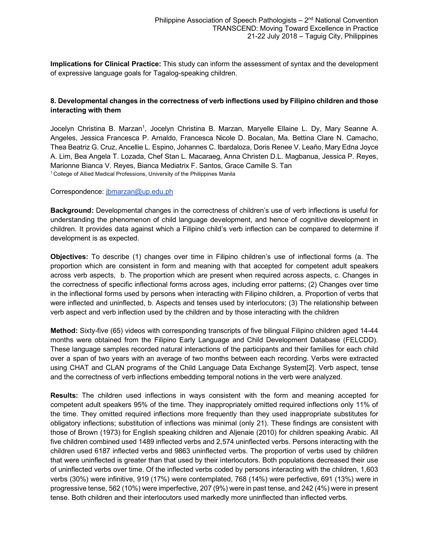**Implications for Clinical Practice:** This study can inform the assessment of syntax and the development of expressive language goals for Tagalog-speaking children.

# **8. Developmental changes in the correctness of verb inflections used by Filipino children and those interacting with them**

Jocelyn Christina B. Marzan<sup>1</sup>, Jocelyn Christina B. Marzan, Maryelle Ellaine L. Dy, Mary Seanne A. Angeles, Jessica Francesca P. Arnaldo, Francesca Nicole D. Bocalan, Ma. Bettina Clare N. Camacho, Thea Beatriz G. Cruz, Ancellie L. Espino, Johannes C. Ibardaloza, Doris Renee V. Leaño, Mary Edna Joyce A. Lim, Bea Angela T. Lozada, Chef Stan L. Macaraeg, Anna Christen D.L. Magbanua, Jessica P. Reyes, Marionne Bianca V. Reyes, Bianca Mediatrix F. Santos, Grace Camille S. Tan <sup>1</sup> College of Allied Medical Professions, University of the Philippines Manila

Correspondence: jbmarzan@up.edu.ph

**Background:** Developmental changes in the correctness of children's use of verb inflections is useful for understanding the phenomenon of child language development, and hence of cognitive development in children. It provides data against which a Filipino child's verb inflection can be compared to determine if development is as expected.

**Objectives:** To describe (1) changes over time in Filipino children's use of inflectional forms (a. The proportion which are consistent in form and meaning with that accepted for competent adult speakers across verb aspects, b. The proportion which are present when required across aspects, c. Changes in the correctness of specific inflectional forms across ages, including error patterns; (2) Changes over time in the inflectional forms used by persons when interacting with Filipino children, a. Proportion of verbs that were inflected and uninflected, b. Aspects and tenses used by interlocutors; (3) The relationship between verb aspect and verb inflection used by the children and by those interacting with the children

**Method:** Sixty-five (65) videos with corresponding transcripts of five bilingual Filipino children aged 14-44 months were obtained from the Filipino Early Language and Child Development Database (FELCDD). These language samples recorded natural interactions of the participants and their families for each child over a span of two years with an average of two months between each recording. Verbs were extracted using CHAT and CLAN programs of the Child Language Data Exchange System[2]. Verb aspect, tense and the correctness of verb inflections embedding temporal notions in the verb were analyzed.

**Results:** The children used inflections in ways consistent with the form and meaning accepted for competent adult speakers 95% of the time. They inappropriately omitted required inflections only 11% of the time. They omitted required inflections more frequently than they used inappropriate substitutes for obligatory inflections; substitution of inflections was minimal (only 21). These findings are consistent with those of Brown (1973) for English speaking children and Aljenaie (2010) for children speaking Arabic. All five children combined used 1489 inflected verbs and 2,574 uninflected verbs. Persons interacting with the children used 6187 inflected verbs and 9863 uninflected verbs. The proportion of verbs used by children that were uninflected is greater than that used by their interlocutors. Both populations decreased their use of uninflected verbs over time. Of the inflected verbs coded by persons interacting with the children, 1,603 verbs (30%) were infinitive, 919 (17%) were contemplated, 768 (14%) were perfective, 691 (13%) were in progressive tense, 562 (10%) were imperfective, 207 (9%) were in past tense, and 242 (4%) were in present tense. Both children and their interlocutors used markedly more uninflected than inflected verbs.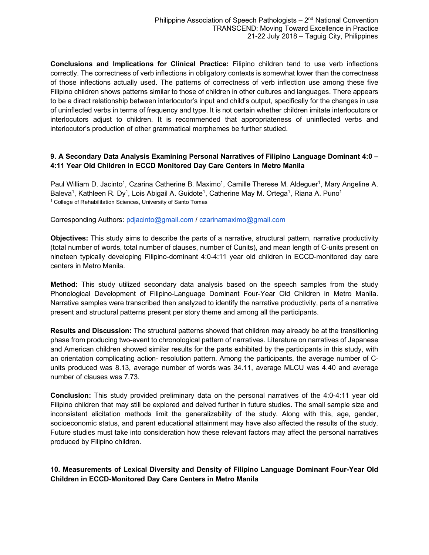**Conclusions and Implications for Clinical Practice:** Filipino children tend to use verb inflections correctly. The correctness of verb inflections in obligatory contexts is somewhat lower than the correctness of those inflections actually used. The patterns of correctness of verb inflection use among these five Filipino children shows patterns similar to those of children in other cultures and languages. There appears to be a direct relationship between interlocutor's input and child's output, specifically for the changes in use of uninflected verbs in terms of frequency and type. It is not certain whether children imitate interlocutors or interlocutors adjust to children. It is recommended that appropriateness of uninflected verbs and interlocutor's production of other grammatical morphemes be further studied.

# **9. A Secondary Data Analysis Examining Personal Narratives of Filipino Language Dominant 4:0 – 4:11 Year Old Children in ECCD Monitored Day Care Centers in Metro Manila**

Paul William D. Jacinto<sup>1</sup>, Czarina Catherine B. Maximo<sup>1</sup>, Camille Therese M. Aldeguer<sup>1</sup>, Mary Angeline A. Baleva<sup>1</sup>, Kathleen R. Dy<sup>1</sup>, Lois Abigail A. Guidote<sup>1</sup>, Catherine May M. Ortega<sup>1</sup>, Riana A. Puno<sup>1</sup> <sup>1</sup> College of Rehabilitation Sciences, University of Santo Tomas

Corresponding Authors: pdjacinto@gmail.com / czarinamaximo@gmail.com

**Objectives:** This study aims to describe the parts of a narrative, structural pattern, narrative productivity (total number of words, total number of clauses, number of Cunits), and mean length of C-units present on nineteen typically developing Filipino-dominant 4:0-4:11 year old children in ECCD-monitored day care centers in Metro Manila.

**Method:** This study utilized secondary data analysis based on the speech samples from the study Phonological Development of Filipino-Language Dominant Four-Year Old Children in Metro Manila. Narrative samples were transcribed then analyzed to identify the narrative productivity, parts of a narrative present and structural patterns present per story theme and among all the participants.

**Results and Discussion:** The structural patterns showed that children may already be at the transitioning phase from producing two-event to chronological pattern of narratives. Literature on narratives of Japanese and American children showed similar results for the parts exhibited by the participants in this study, with an orientation complicating action- resolution pattern. Among the participants, the average number of Cunits produced was 8.13, average number of words was 34.11, average MLCU was 4.40 and average number of clauses was 7.73.

**Conclusion:** This study provided preliminary data on the personal narratives of the 4:0-4:11 year old Filipino children that may still be explored and delved further in future studies. The small sample size and inconsistent elicitation methods limit the generalizability of the study. Along with this, age, gender, socioeconomic status, and parent educational attainment may have also affected the results of the study. Future studies must take into consideration how these relevant factors may affect the personal narratives produced by Filipino children.

# **10. Measurements of Lexical Diversity and Density of Filipino Language Dominant Four-Year Old Children in ECCD-Monitored Day Care Centers in Metro Manila**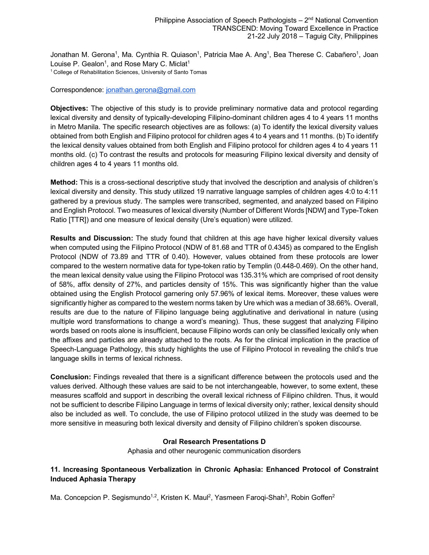Jonathan M. Gerona<sup>1</sup>, Ma. Cynthia R. Quiason<sup>1</sup>, Patricia Mae A. Ang<sup>1</sup>, Bea Therese C. Cabañero<sup>1</sup>, Joan Louise P. Gealon<sup>1</sup>, and Rose Mary C. Miclat<sup>1</sup> <sup>1</sup> College of Rehabilitation Sciences, University of Santo Tomas

#### Correspondence: jonathan.gerona@gmail.com

**Objectives:** The objective of this study is to provide preliminary normative data and protocol regarding lexical diversity and density of typically-developing Filipino-dominant children ages 4 to 4 years 11 months in Metro Manila. The specific research objectives are as follows: (a) To identify the lexical diversity values obtained from both English and Filipino protocol for children ages 4 to 4 years and 11 months. (b) To identify the lexical density values obtained from both English and Filipino protocol for children ages 4 to 4 years 11 months old. (c) To contrast the results and protocols for measuring Filipino lexical diversity and density of children ages 4 to 4 years 11 months old.

**Method:** This is a cross-sectional descriptive study that involved the description and analysis of children's lexical diversity and density. This study utilized 19 narrative language samples of children ages 4:0 to 4:11 gathered by a previous study. The samples were transcribed, segmented, and analyzed based on Filipino and English Protocol. Two measures of lexical diversity (Number of Different Words [NDW] and Type-Token Ratio [TTR]) and one measure of lexical density (Ure's equation) were utilized.

**Results and Discussion:** The study found that children at this age have higher lexical diversity values when computed using the Filipino Protocol (NDW of 81.68 and TTR of 0.4345) as compared to the English Protocol (NDW of 73.89 and TTR of 0.40). However, values obtained from these protocols are lower compared to the western normative data for type-token ratio by Templin (0.448-0.469). On the other hand, the mean lexical density value using the Filipino Protocol was 135.31% which are comprised of root density of 58%, affix density of 27%, and particles density of 15%. This was significantly higher than the value obtained using the English Protocol garnering only 57.96% of lexical items. Moreover, these values were significantly higher as compared to the western norms taken by Ure which was a median of 38.66%. Overall, results are due to the nature of Filipino language being agglutinative and derivational in nature (using multiple word transformations to change a word's meaning). Thus, these suggest that analyzing Filipino words based on roots alone is insufficient, because Filipino words can only be classified lexically only when the affixes and particles are already attached to the roots. As for the clinical implication in the practice of Speech-Language Pathology, this study highlights the use of Filipino Protocol in revealing the child's true language skills in terms of lexical richness.

**Conclusion:** Findings revealed that there is a significant difference between the protocols used and the values derived. Although these values are said to be not interchangeable, however, to some extent, these measures scaffold and support in describing the overall lexical richness of Filipino children. Thus, it would not be sufficient to describe Filipino Language in terms of lexical diversity only; rather, lexical density should also be included as well. To conclude, the use of Filipino protocol utilized in the study was deemed to be more sensitive in measuring both lexical diversity and density of Filipino children's spoken discourse.

#### **Oral Research Presentations D**

Aphasia and other neurogenic communication disorders

# **11. Increasing Spontaneous Verbalization in Chronic Aphasia: Enhanced Protocol of Constraint Induced Aphasia Therapy**

Ma. Concepcion P. Segismundo<sup>1,2</sup>, Kristen K. Maul<sup>2</sup>, Yasmeen Faroqi-Shah<sup>3</sup>, Robin Goffen<sup>2</sup>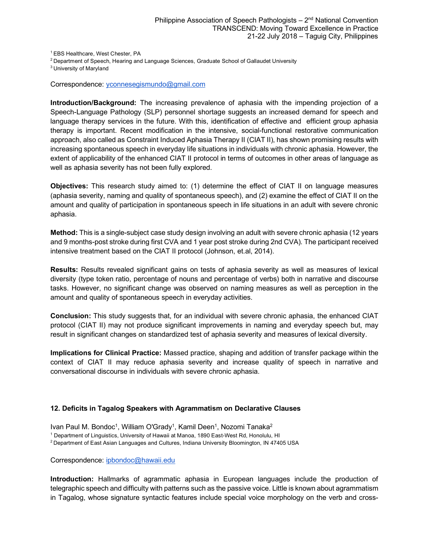1 EBS Healthcare, West Chester, PA

<sup>2</sup> Department of Speech, Hearing and Language Sciences, Graduate School of Gallaudet University

3 University of Maryland

Correspondence: yconnesegismundo@gmail.com

**Introduction/Background:** The increasing prevalence of aphasia with the impending projection of a Speech-Language Pathology (SLP) personnel shortage suggests an increased demand for speech and language therapy services in the future. With this, identification of effective and efficient group aphasia therapy is important. Recent modification in the intensive, social-functional restorative communication approach, also called as Constraint Induced Aphasia Therapy II (CIAT II), has shown promising results with increasing spontaneous speech in everyday life situations in individuals with chronic aphasia. However, the extent of applicability of the enhanced CIAT II protocol in terms of outcomes in other areas of language as well as aphasia severity has not been fully explored.

**Objectives:** This research study aimed to: (1) determine the effect of CIAT II on language measures (aphasia severity, naming and quality of spontaneous speech), and (2) examine the effect of CIAT II on the amount and quality of participation in spontaneous speech in life situations in an adult with severe chronic aphasia.

**Method:** This is a single-subject case study design involving an adult with severe chronic aphasia (12 years and 9 months-post stroke during first CVA and 1 year post stroke during 2nd CVA). The participant received intensive treatment based on the CIAT II protocol (Johnson, et.al, 2014).

**Results:** Results revealed significant gains on tests of aphasia severity as well as measures of lexical diversity (type token ratio, percentage of nouns and percentage of verbs) both in narrative and discourse tasks. However, no significant change was observed on naming measures as well as perception in the amount and quality of spontaneous speech in everyday activities.

**Conclusion:** This study suggests that, for an individual with severe chronic aphasia, the enhanced CIAT protocol (CIAT II) may not produce significant improvements in naming and everyday speech but, may result in significant changes on standardized test of aphasia severity and measures of lexical diversity.

**Implications for Clinical Practice:** Massed practice, shaping and addition of transfer package within the context of CIAT II may reduce aphasia severity and increase quality of speech in narrative and conversational discourse in individuals with severe chronic aphasia.

#### **12. Deficits in Tagalog Speakers with Agrammatism on Declarative Clauses**

Ivan Paul M. Bondoc<sup>1</sup>, William O'Grady<sup>1</sup>, Kamil Deen<sup>1</sup>, Nozomi Tanaka<sup>2</sup>

<sup>1</sup> Department of Linguistics, University of Hawaii at Manoa, 1890 East-West Rd, Honolulu, HI

2 Department of East Asian Languages and Cultures, Indiana University Bloomington, IN 47405 USA

Correspondence: ipbondoc@hawaii.edu

**Introduction:** Hallmarks of agrammatic aphasia in European languages include the production of telegraphic speech and difficulty with patterns such as the passive voice. Little is known about agrammatism in Tagalog, whose signature syntactic features include special voice morphology on the verb and cross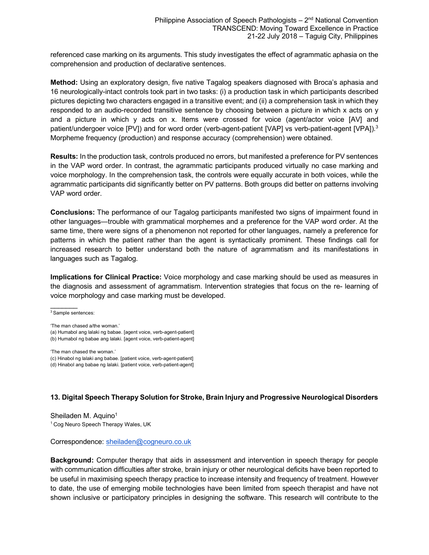referenced case marking on its arguments. This study investigates the effect of agrammatic aphasia on the comprehension and production of declarative sentences.

**Method:** Using an exploratory design, five native Tagalog speakers diagnosed with Broca's aphasia and 16 neurologically-intact controls took part in two tasks: (i) a production task in which participants described pictures depicting two characters engaged in a transitive event; and (ii) a comprehension task in which they responded to an audio-recorded transitive sentence by choosing between a picture in which x acts on y and a picture in which y acts on x. Items were crossed for voice (agent/actor voice [AV] and patient/undergoer voice [PV]) and for word order (verb-agent-patient [VAP] vs verb-patient-agent [VPA]).<sup>3</sup> Morpheme frequency (production) and response accuracy (comprehension) were obtained.

**Results:** In the production task, controls produced no errors, but manifested a preference for PV sentences in the VAP word order. In contrast, the agrammatic participants produced virtually no case marking and voice morphology. In the comprehension task, the controls were equally accurate in both voices, while the agrammatic participants did significantly better on PV patterns. Both groups did better on patterns involving VAP word order.

**Conclusions:** The performance of our Tagalog participants manifested two signs of impairment found in other languages—trouble with grammatical morphemes and a preference for the VAP word order. At the same time, there were signs of a phenomenon not reported for other languages, namely a preference for patterns in which the patient rather than the agent is syntactically prominent. These findings call for increased research to better understand both the nature of agrammatism and its manifestations in languages such as Tagalog.

**Implications for Clinical Practice:** Voice morphology and case marking should be used as measures in the diagnosis and assessment of agrammatism. Intervention strategies that focus on the re- learning of voice morphology and case marking must be developed.

3 Sample sentences:

 $\mathcal{L}$ 

'The man chased a/the woman.'

(a) Humabol ang lalaki ng babae. [agent voice, verb-agent-patient] (b) Humabol ng babae ang lalaki. [agent voice, verb-patient-agent]

'The man chased the woman.' (c) Hinabol ng lalaki ang babae. [patient voice, verb-agent-patient] (d) Hinabol ang babae ng lalaki. [patient voice, verb-patient-agent]

# **13. Digital Speech Therapy Solution for Stroke, Brain Injury and Progressive Neurological Disorders**

Sheiladen M. Aquino<sup>1</sup> <sup>1</sup> Cog Neuro Speech Therapy Wales, UK

Correspondence: sheiladen@cogneuro.co.uk

**Background:** Computer therapy that aids in assessment and intervention in speech therapy for people with communication difficulties after stroke, brain injury or other neurological deficits have been reported to be useful in maximising speech therapy practice to increase intensity and frequency of treatment. However to date, the use of emerging mobile technologies have been limited from speech therapist and have not shown inclusive or participatory principles in designing the software. This research will contribute to the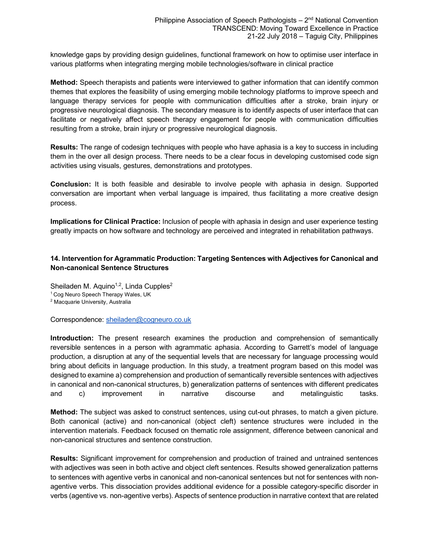knowledge gaps by providing design guidelines, functional framework on how to optimise user interface in various platforms when integrating merging mobile technologies/software in clinical practice

**Method:** Speech therapists and patients were interviewed to gather information that can identify common themes that explores the feasibility of using emerging mobile technology platforms to improve speech and language therapy services for people with communication difficulties after a stroke, brain injury or progressive neurological diagnosis. The secondary measure is to identify aspects of user interface that can facilitate or negatively affect speech therapy engagement for people with communication difficulties resulting from a stroke, brain injury or progressive neurological diagnosis.

**Results:** The range of codesign techniques with people who have aphasia is a key to success in including them in the over all design process. There needs to be a clear focus in developing customised code sign activities using visuals, gestures, demonstrations and prototypes.

**Conclusion:** It is both feasible and desirable to involve people with aphasia in design. Supported conversation are important when verbal language is impaired, thus facilitating a more creative design process.

**Implications for Clinical Practice:** Inclusion of people with aphasia in design and user experience testing greatly impacts on how software and technology are perceived and integrated in rehabilitation pathways.

# **14. Intervention for Agrammatic Production: Targeting Sentences with Adjectives for Canonical and Non-canonical Sentence Structures**

Sheiladen M. Aquino<sup>1,2</sup>, Linda Cupples<sup>2</sup> <sup>1</sup> Cog Neuro Speech Therapy Wales, UK  $^2$  Macquarie University, Australia

Correspondence: sheiladen@cogneuro.co.uk

**Introduction:** The present research examines the production and comprehension of semantically reversible sentences in a person with agrammatic aphasia. According to Garrett's model of language production, a disruption at any of the sequential levels that are necessary for language processing would bring about deficits in language production. In this study, a treatment program based on this model was designed to examine a) comprehension and production of semantically reversible sentences with adjectives in canonical and non-canonical structures, b) generalization patterns of sentences with different predicates and c) improvement in narrative discourse and metalinguistic tasks.

**Method:** The subject was asked to construct sentences, using cut-out phrases, to match a given picture. Both canonical (active) and non-canonical (object cleft) sentence structures were included in the intervention materials. Feedback focused on thematic role assignment, difference between canonical and non-canonical structures and sentence construction.

**Results:** Significant improvement for comprehension and production of trained and untrained sentences with adjectives was seen in both active and object cleft sentences. Results showed generalization patterns to sentences with agentive verbs in canonical and non-canonical sentences but not for sentences with nonagentive verbs. This dissociation provides additional evidence for a possible category-specific disorder in verbs (agentive vs. non-agentive verbs). Aspects of sentence production in narrative context that are related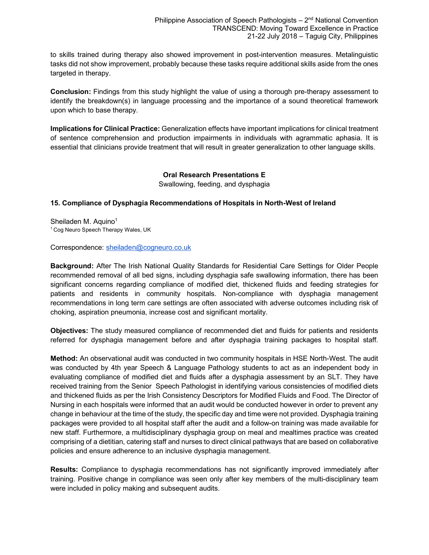to skills trained during therapy also showed improvement in post-intervention measures. Metalinguistic tasks did not show improvement, probably because these tasks require additional skills aside from the ones targeted in therapy.

**Conclusion:** Findings from this study highlight the value of using a thorough pre-therapy assessment to identify the breakdown(s) in language processing and the importance of a sound theoretical framework upon which to base therapy.

**Implications for Clinical Practice:** Generalization effects have important implications for clinical treatment of sentence comprehension and production impairments in individuals with agrammatic aphasia. It is essential that clinicians provide treatment that will result in greater generalization to other language skills.

#### **Oral Research Presentations E** Swallowing, feeding, and dysphagia

# **15. Compliance of Dysphagia Recommendations of Hospitals in North-West of Ireland**

Sheiladen M. Aquino<sup>1</sup> <sup>1</sup> Cog Neuro Speech Therapy Wales, UK

Correspondence: sheiladen@cogneuro.co.uk

**Background:** After The Irish National Quality Standards for Residential Care Settings for Older People recommended removal of all bed signs, including dysphagia safe swallowing information, there has been significant concerns regarding compliance of modified diet, thickened fluids and feeding strategies for patients and residents in community hospitals. Non-compliance with dysphagia management recommendations in long term care settings are often associated with adverse outcomes including risk of choking, aspiration pneumonia, increase cost and significant mortality.

**Objectives:** The study measured compliance of recommended diet and fluids for patients and residents referred for dysphagia management before and after dysphagia training packages to hospital staff.

**Method:** An observational audit was conducted in two community hospitals in HSE North-West. The audit was conducted by 4th year Speech & Language Pathology students to act as an independent body in evaluating compliance of modified diet and fluids after a dysphagia assessment by an SLT. They have received training from the Senior Speech Pathologist in identifying various consistencies of modified diets and thickened fluids as per the Irish Consistency Descriptors for Modified Fluids and Food. The Director of Nursing in each hospitals were informed that an audit would be conducted however in order to prevent any change in behaviour at the time of the study, the specific day and time were not provided. Dysphagia training packages were provided to all hospital staff after the audit and a follow-on training was made available for new staff. Furthermore, a multidisciplinary dysphagia group on meal and mealtimes practice was created comprising of a dietitian, catering staff and nurses to direct clinical pathways that are based on collaborative policies and ensure adherence to an inclusive dysphagia management.

**Results:** Compliance to dysphagia recommendations has not significantly improved immediately after training. Positive change in compliance was seen only after key members of the multi-disciplinary team were included in policy making and subsequent audits.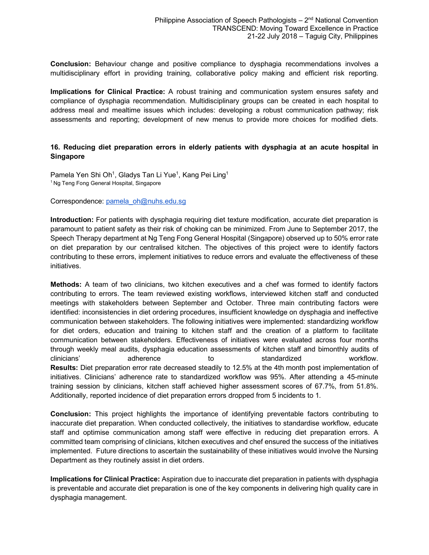**Conclusion:** Behaviour change and positive compliance to dysphagia recommendations involves a multidisciplinary effort in providing training, collaborative policy making and efficient risk reporting.

**Implications for Clinical Practice:** A robust training and communication system ensures safety and compliance of dysphagia recommendation. Multidisciplinary groups can be created in each hospital to address meal and mealtime issues which includes: developing a robust communication pathway; risk assessments and reporting; development of new menus to provide more choices for modified diets.

#### **16. Reducing diet preparation errors in elderly patients with dysphagia at an acute hospital in Singapore**

Pamela Yen Shi Oh<sup>1</sup>, Gladys Tan Li Yue<sup>1</sup>, Kang Pei Ling<sup>1</sup> <sup>1</sup> Ng Teng Fong General Hospital, Singapore

Correspondence: pamela\_oh@nuhs.edu.sg

**Introduction:** For patients with dysphagia requiring diet texture modification, accurate diet preparation is paramount to patient safety as their risk of choking can be minimized. From June to September 2017, the Speech Therapy department at Ng Teng Fong General Hospital (Singapore) observed up to 50% error rate on diet preparation by our centralised kitchen. The objectives of this project were to identify factors contributing to these errors, implement initiatives to reduce errors and evaluate the effectiveness of these initiatives.

**Methods:** A team of two clinicians, two kitchen executives and a chef was formed to identify factors contributing to errors. The team reviewed existing workflows, interviewed kitchen staff and conducted meetings with stakeholders between September and October. Three main contributing factors were identified: inconsistencies in diet ordering procedures, insufficient knowledge on dysphagia and ineffective communication between stakeholders. The following initiatives were implemented: standardizing workflow for diet orders, education and training to kitchen staff and the creation of a platform to facilitate communication between stakeholders. Effectiveness of initiatives were evaluated across four months through weekly meal audits, dysphagia education assessments of kitchen staff and bimonthly audits of clinicians' adherence to standardized workflow. **Results:** Diet preparation error rate decreased steadily to 12.5% at the 4th month post implementation of initiatives. Clinicians' adherence rate to standardized workflow was 95%. After attending a 45-minute training session by clinicians, kitchen staff achieved higher assessment scores of 67.7%, from 51.8%. Additionally, reported incidence of diet preparation errors dropped from 5 incidents to 1.

**Conclusion:** This project highlights the importance of identifying preventable factors contributing to inaccurate diet preparation. When conducted collectively, the initiatives to standardise workflow, educate staff and optimise communication among staff were effective in reducing diet preparation errors. A committed team comprising of clinicians, kitchen executives and chef ensured the success of the initiatives implemented. Future directions to ascertain the sustainability of these initiatives would involve the Nursing Department as they routinely assist in diet orders.

**Implications for Clinical Practice:** Aspiration due to inaccurate diet preparation in patients with dysphagia is preventable and accurate diet preparation is one of the key components in delivering high quality care in dysphagia management.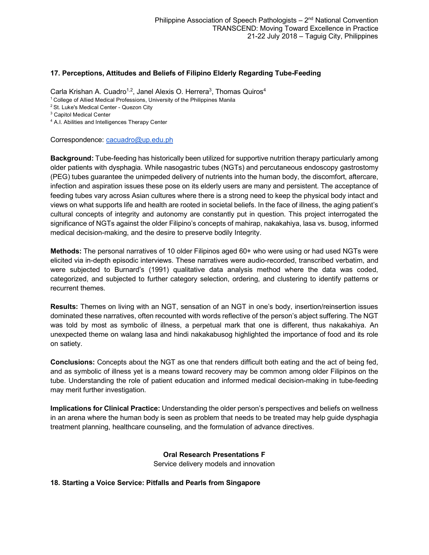#### **17. Perceptions, Attitudes and Beliefs of Filipino Elderly Regarding Tube-Feeding**

Carla Krishan A. Cuadro<sup>1,2</sup>, Janel Alexis O. Herrera<sup>3</sup>, Thomas Quiros<sup>4</sup>

<sup>1</sup> College of Allied Medical Professions, University of the Philippines Manila

<sup>2</sup> St. Luke's Medical Center - Quezon City

<sup>3</sup> Capitol Medical Center

<sup>4</sup> A.I. Abilities and Intelligences Therapy Center

Correspondence: cacuadro@up.edu.ph

**Background:** Tube-feeding has historically been utilized for supportive nutrition therapy particularly among older patients with dysphagia. While nasogastric tubes (NGTs) and percutaneous endoscopy gastrostomy (PEG) tubes guarantee the unimpeded delivery of nutrients into the human body, the discomfort, aftercare, infection and aspiration issues these pose on its elderly users are many and persistent. The acceptance of feeding tubes vary across Asian cultures where there is a strong need to keep the physical body intact and views on what supports life and health are rooted in societal beliefs. In the face of illness, the aging patient's cultural concepts of integrity and autonomy are constantly put in question. This project interrogated the significance of NGTs against the older Filipino's concepts of mahirap, nakakahiya, lasa vs. busog, informed medical decision-making, and the desire to preserve bodily Integrity.

**Methods:** The personal narratives of 10 older Filipinos aged 60+ who were using or had used NGTs were elicited via in-depth episodic interviews. These narratives were audio-recorded, transcribed verbatim, and were subjected to Burnard's (1991) qualitative data analysis method where the data was coded, categorized, and subjected to further category selection, ordering, and clustering to identify patterns or recurrent themes.

**Results:** Themes on living with an NGT, sensation of an NGT in one's body, insertion/reinsertion issues dominated these narratives, often recounted with words reflective of the person's abject suffering. The NGT was told by most as symbolic of illness, a perpetual mark that one is different, thus nakakahiya. An unexpected theme on walang lasa and hindi nakakabusog highlighted the importance of food and its role on satiety.

**Conclusions:** Concepts about the NGT as one that renders difficult both eating and the act of being fed, and as symbolic of illness yet is a means toward recovery may be common among older Filipinos on the tube. Understanding the role of patient education and informed medical decision-making in tube-feeding may merit further investigation.

**Implications for Clinical Practice:** Understanding the older person's perspectives and beliefs on wellness in an arena where the human body is seen as problem that needs to be treated may help guide dysphagia treatment planning, healthcare counseling, and the formulation of advance directives.

> **Oral Research Presentations F** Service delivery models and innovation

**18. Starting a Voice Service: Pitfalls and Pearls from Singapore**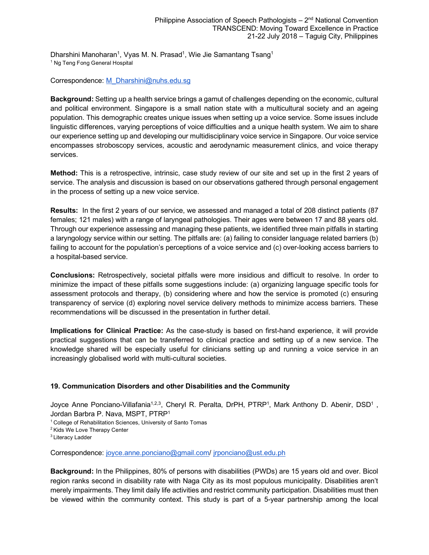Dharshini Manoharan<sup>1</sup>, Vyas M. N. Prasad<sup>1</sup>, Wie Jie Samantang Tsang<sup>1</sup> <sup>1</sup> Ng Teng Fong General Hospital

Correspondence: M\_Dharshini@nuhs.edu.sg

**Background:** Setting up a health service brings a gamut of challenges depending on the economic, cultural and political environment. Singapore is a small nation state with a multicultural society and an ageing population. This demographic creates unique issues when setting up a voice service. Some issues include linguistic differences, varying perceptions of voice difficulties and a unique health system. We aim to share our experience setting up and developing our multidisciplinary voice service in Singapore. Our voice service encompasses stroboscopy services, acoustic and aerodynamic measurement clinics, and voice therapy services.

**Method:** This is a retrospective, intrinsic, case study review of our site and set up in the first 2 years of service. The analysis and discussion is based on our observations gathered through personal engagement in the process of setting up a new voice service.

**Results:** In the first 2 years of our service, we assessed and managed a total of 208 distinct patients (87 females; 121 males) with a range of laryngeal pathologies. Their ages were between 17 and 88 years old. Through our experience assessing and managing these patients, we identified three main pitfalls in starting a laryngology service within our setting. The pitfalls are: (a) failing to consider language related barriers (b) failing to account for the population's perceptions of a voice service and (c) over-looking access barriers to a hospital-based service.

**Conclusions:** Retrospectively, societal pitfalls were more insidious and difficult to resolve. In order to minimize the impact of these pitfalls some suggestions include: (a) organizing language specific tools for assessment protocols and therapy, (b) considering where and how the service is promoted (c) ensuring transparency of service (d) exploring novel service delivery methods to minimize access barriers. These recommendations will be discussed in the presentation in further detail.

**Implications for Clinical Practice:** As the case-study is based on first-hand experience, it will provide practical suggestions that can be transferred to clinical practice and setting up of a new service. The knowledge shared will be especially useful for clinicians setting up and running a voice service in an increasingly globalised world with multi-cultural societies.

#### **19. Communication Disorders and other Disabilities and the Community**

Joyce Anne Ponciano-Villafania<sup>1,2,3</sup>, Cheryl R. Peralta, DrPH, PTRP<sup>1</sup>, Mark Anthony D. Abenir, DSD<sup>1</sup>, Jordan Barbra P. Nava, MSPT, PTRP1

- <sup>1</sup> College of Rehabilitation Sciences, University of Santo Tomas
- <sup>2</sup> Kids We Love Therapy Center

<sup>3</sup> Literacy Ladder

Correspondence: joyce.anne.ponciano@gmail.com/ jrponciano@ust.edu.ph

**Background:** In the Philippines, 80% of persons with disabilities (PWDs) are 15 years old and over. Bicol region ranks second in disability rate with Naga City as its most populous municipality. Disabilities aren't merely impairments. They limit daily life activities and restrict community participation. Disabilities must then be viewed within the community context. This study is part of a 5-year partnership among the local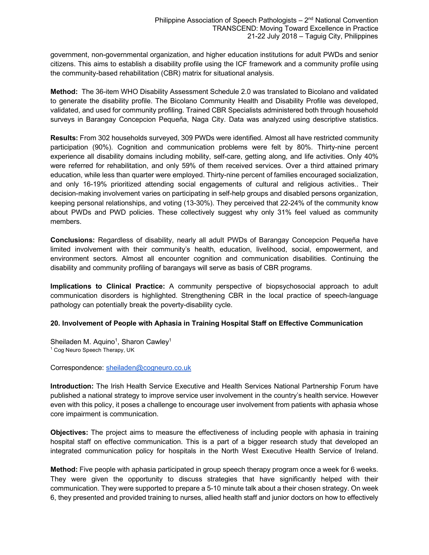government, non-governmental organization, and higher education institutions for adult PWDs and senior citizens. This aims to establish a disability profile using the ICF framework and a community profile using the community-based rehabilitation (CBR) matrix for situational analysis.

**Method:** The 36-item WHO Disability Assessment Schedule 2.0 was translated to Bicolano and validated to generate the disability profile. The Bicolano Community Health and Disability Profile was developed, validated, and used for community profiling. Trained CBR Specialists administered both through household surveys in Barangay Concepcion Pequeña, Naga City. Data was analyzed using descriptive statistics.

**Results:** From 302 households surveyed, 309 PWDs were identified. Almost all have restricted community participation (90%). Cognition and communication problems were felt by 80%. Thirty-nine percent experience all disability domains including mobility, self-care, getting along, and life activities. Only 40% were referred for rehabilitation, and only 59% of them received services. Over a third attained primary education, while less than quarter were employed. Thirty-nine percent of families encouraged socialization, and only 16-19% prioritized attending social engagements of cultural and religious activities.. Their decision-making involvement varies on participating in self-help groups and disabled persons organization, keeping personal relationships, and voting (13-30%). They perceived that 22-24% of the community know about PWDs and PWD policies. These collectively suggest why only 31% feel valued as community members.

**Conclusions:** Regardless of disability, nearly all adult PWDs of Barangay Concepcion Pequeña have limited involvement with their community's health, education, livelihood, social, empowerment, and environment sectors. Almost all encounter cognition and communication disabilities. Continuing the disability and community profiling of barangays will serve as basis of CBR programs.

**Implications to Clinical Practice:** A community perspective of biopsychosocial approach to adult communication disorders is highlighted. Strengthening CBR in the local practice of speech-language pathology can potentially break the poverty-disability cycle.

#### **20. Involvement of People with Aphasia in Training Hospital Staff on Effective Communication**

Sheiladen M. Aquino<sup>1</sup>, Sharon Cawley<sup>1</sup> <sup>1</sup> Cog Neuro Speech Therapy, UK

Correspondence: sheiladen@cogneuro.co.uk

**Introduction:** The Irish Health Service Executive and Health Services National Partnership Forum have published a national strategy to improve service user involvement in the country's health service. However even with this policy, it poses a challenge to encourage user involvement from patients with aphasia whose core impairment is communication.

**Objectives:** The project aims to measure the effectiveness of including people with aphasia in training hospital staff on effective communication. This is a part of a bigger research study that developed an integrated communication policy for hospitals in the North West Executive Health Service of Ireland.

**Method:** Five people with aphasia participated in group speech therapy program once a week for 6 weeks. They were given the opportunity to discuss strategies that have significantly helped with their communication. They were supported to prepare a 5-10 minute talk about a their chosen strategy. On week 6, they presented and provided training to nurses, allied health staff and junior doctors on how to effectively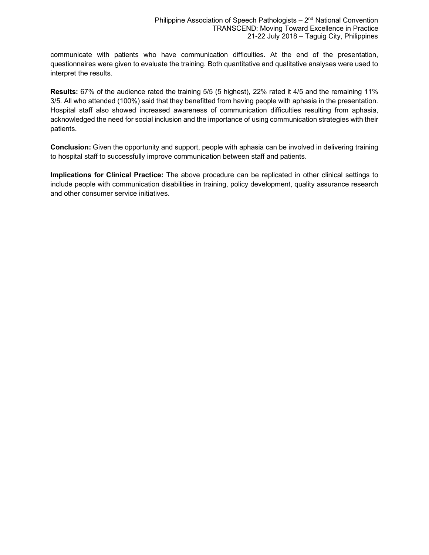communicate with patients who have communication difficulties. At the end of the presentation, questionnaires were given to evaluate the training. Both quantitative and qualitative analyses were used to interpret the results.

**Results:** 67% of the audience rated the training 5/5 (5 highest), 22% rated it 4/5 and the remaining 11% 3/5. All who attended (100%) said that they benefitted from having people with aphasia in the presentation. Hospital staff also showed increased awareness of communication difficulties resulting from aphasia, acknowledged the need for social inclusion and the importance of using communication strategies with their patients.

**Conclusion:** Given the opportunity and support, people with aphasia can be involved in delivering training to hospital staff to successfully improve communication between staff and patients.

**Implications for Clinical Practice:** The above procedure can be replicated in other clinical settings to include people with communication disabilities in training, policy development, quality assurance research and other consumer service initiatives.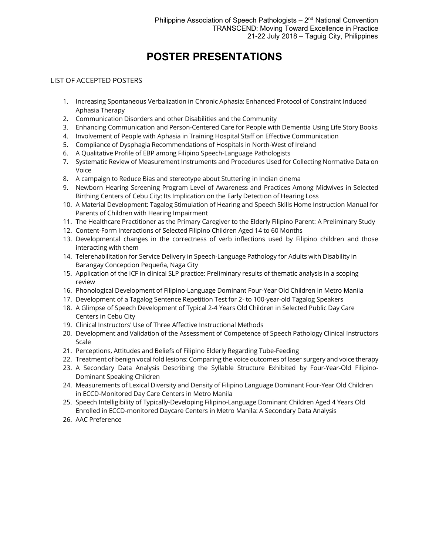# **POSTER PRESENTATIONS**

# LIST OF ACCEPTED POSTERS

- 1. Increasing Spontaneous Verbalization in Chronic Aphasia: Enhanced Protocol of Constraint Induced Aphasia Therapy
- 2. Communication Disorders and other Disabilities and the Community
- 3. Enhancing Communication and Person-Centered Care for People with Dementia Using Life Story Books
- 4. Involvement of People with Aphasia in Training Hospital Staff on Effective Communication
- 5. Compliance of Dysphagia Recommendations of Hospitals in North-West of Ireland
- 6. A Qualitative Profile of EBP among Filipino Speech-Language Pathologists
- 7. Systematic Review of Measurement Instruments and Procedures Used for Collecting Normative Data on Voice
- 8. A campaign to Reduce Bias and stereotype about Stuttering in Indian cinema
- 9. Newborn Hearing Screening Program Level of Awareness and Practices Among Midwives in Selected Birthing Centers of Cebu City: Its Implication on the Early Detection of Hearing Loss
- 10. A Material Development: Tagalog Stimulation of Hearing and Speech Skills Home Instruction Manual for Parents of Children with Hearing Impairment
- 11. The Healthcare Practitioner as the Primary Caregiver to the Elderly Filipino Parent: A Preliminary Study
- 12. Content-Form Interactions of Selected Filipino Children Aged 14 to 60 Months
- 13. Developmental changes in the correctness of verb inflections used by Filipino children and those interacting with them
- 14. Telerehabilitation for Service Delivery in Speech-Language Pathology for Adults with Disability in Barangay Concepcion Pequeña, Naga City
- 15. Application of the ICF in clinical SLP practice: Preliminary results of thematic analysis in a scoping review
- 16. Phonological Development of Filipino-Language Dominant Four-Year Old Children in Metro Manila
- 17. Development of a Tagalog Sentence Repetition Test for 2- to 100-year-old Tagalog Speakers
- 18. A Glimpse of Speech Development of Typical 2-4 Years Old Children in Selected Public Day Care Centers in Cebu City
- 19. Clinical Instructors' Use of Three Affective Instructional Methods
- 20. Development and Validation of the Assessment of Competence of Speech Pathology Clinical Instructors Scale
- 21. Perceptions, Attitudes and Beliefs of Filipino Elderly Regarding Tube-Feeding
- 22. Treatment of benign vocal fold lesions: Comparing the voice outcomes of laser surgery and voice therapy
- 23. A Secondary Data Analysis Describing the Syllable Structure Exhibited by Four-Year-Old Filipino-Dominant Speaking Children
- 24. Measurements of Lexical Diversity and Density of Filipino Language Dominant Four-Year Old Children in ECCD-Monitored Day Care Centers in Metro Manila
- 25. Speech Intelligibility of Typically-Developing Filipino-Language Dominant Children Aged 4 Years Old Enrolled in ECCD-monitored Daycare Centers in Metro Manila: A Secondary Data Analysis
- 26. AAC Preference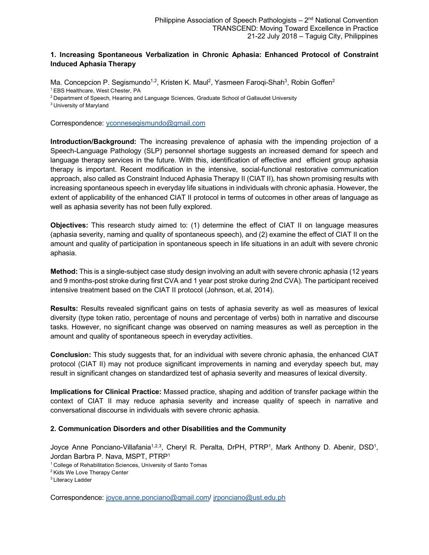# **1. Increasing Spontaneous Verbalization in Chronic Aphasia: Enhanced Protocol of Constraint Induced Aphasia Therapy**

Ma. Concepcion P. Segismundo<sup>1,2</sup>, Kristen K. Maul<sup>2</sup>, Yasmeen Farogi-Shah<sup>3</sup>, Robin Goffen<sup>2</sup> <sup>1</sup> EBS Healthcare, West Chester, PA

<sup>2</sup> Department of Speech, Hearing and Language Sciences, Graduate School of Gallaudet University

3 University of Maryland

Correspondence: yconnesegismundo@gmail.com

**Introduction/Background:** The increasing prevalence of aphasia with the impending projection of a Speech-Language Pathology (SLP) personnel shortage suggests an increased demand for speech and language therapy services in the future. With this, identification of effective and efficient group aphasia therapy is important. Recent modification in the intensive, social-functional restorative communication approach, also called as Constraint Induced Aphasia Therapy II (CIAT II), has shown promising results with increasing spontaneous speech in everyday life situations in individuals with chronic aphasia. However, the extent of applicability of the enhanced CIAT II protocol in terms of outcomes in other areas of language as well as aphasia severity has not been fully explored.

**Objectives:** This research study aimed to: (1) determine the effect of CIAT II on language measures (aphasia severity, naming and quality of spontaneous speech), and (2) examine the effect of CIAT II on the amount and quality of participation in spontaneous speech in life situations in an adult with severe chronic aphasia.

**Method:** This is a single-subject case study design involving an adult with severe chronic aphasia (12 years and 9 months-post stroke during first CVA and 1 year post stroke during 2nd CVA). The participant received intensive treatment based on the CIAT II protocol (Johnson, et.al, 2014).

**Results:** Results revealed significant gains on tests of aphasia severity as well as measures of lexical diversity (type token ratio, percentage of nouns and percentage of verbs) both in narrative and discourse tasks. However, no significant change was observed on naming measures as well as perception in the amount and quality of spontaneous speech in everyday activities.

**Conclusion:** This study suggests that, for an individual with severe chronic aphasia, the enhanced CIAT protocol (CIAT II) may not produce significant improvements in naming and everyday speech but, may result in significant changes on standardized test of aphasia severity and measures of lexical diversity.

**Implications for Clinical Practice:** Massed practice, shaping and addition of transfer package within the context of CIAT II may reduce aphasia severity and increase quality of speech in narrative and conversational discourse in individuals with severe chronic aphasia.

#### **2. Communication Disorders and other Disabilities and the Community**

Joyce Anne Ponciano-Villafania<sup>1,2,3</sup>, Cheryl R. Peralta, DrPH, PTRP<sup>1</sup>, Mark Anthony D. Abenir, DSD<sup>1</sup>, Jordan Barbra P. Nava, MSPT, PTRP1

1 College of Rehabilitation Sciences, University of Santo Tomas

Correspondence: joyce.anne.ponciano@gmail.com/ jrponciano@ust.edu.ph

<sup>2</sup> Kids We Love Therapy Center

<sup>&</sup>lt;sup>3</sup> Literacy Ladder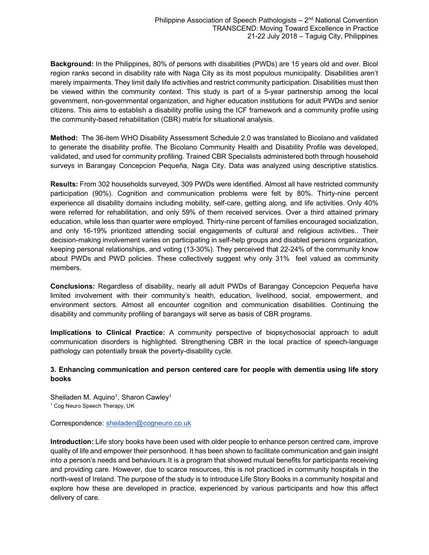**Background:** In the Philippines, 80% of persons with disabilities (PWDs) are 15 years old and over. Bicol region ranks second in disability rate with Naga City as its most populous municipality. Disabilities aren't merely impairments. They limit daily life activities and restrict community participation. Disabilities must then be viewed within the community context. This study is part of a 5-year partnership among the local government, non-governmental organization, and higher education institutions for adult PWDs and senior citizens. This aims to establish a disability profile using the ICF framework and a community profile using the community-based rehabilitation (CBR) matrix for situational analysis.

**Method:** The 36-item WHO Disability Assessment Schedule 2.0 was translated to Bicolano and validated to generate the disability profile. The Bicolano Community Health and Disability Profile was developed, validated, and used for community profiling. Trained CBR Specialists administered both through household surveys in Barangay Concepcion Pequeña, Naga City. Data was analyzed using descriptive statistics.

**Results:** From 302 households surveyed, 309 PWDs were identified. Almost all have restricted community participation (90%). Cognition and communication problems were felt by 80%. Thirty-nine percent experience all disability domains including mobility, self-care, getting along, and life activities. Only 40% were referred for rehabilitation, and only 59% of them received services. Over a third attained primary education, while less than quarter were employed. Thirty-nine percent of families encouraged socialization, and only 16-19% prioritized attending social engagements of cultural and religious activities.. Their decision-making involvement varies on participating in self-help groups and disabled persons organization, keeping personal relationships, and voting (13-30%). They perceived that 22-24% of the community know about PWDs and PWD policies. These collectively suggest why only 31% feel valued as community members.

**Conclusions:** Regardless of disability, nearly all adult PWDs of Barangay Concepcion Pequeña have limited involvement with their community's health, education, livelihood, social, empowerment, and environment sectors. Almost all encounter cognition and communication disabilities. Continuing the disability and community profiling of barangays will serve as basis of CBR programs.

**Implications to Clinical Practice:** A community perspective of biopsychosocial approach to adult communication disorders is highlighted. Strengthening CBR in the local practice of speech-language pathology can potentially break the poverty-disability cycle.

#### **3. Enhancing communication and person centered care for people with dementia using life story books**

Sheiladen M. Aquino<sup>1</sup>, Sharon Cawley<sup>1</sup> <sup>1</sup> Cog Neuro Speech Therapy, UK

Correspondence: sheiladen@cogneuro.co.uk

**Introduction:** Life story books have been used with older people to enhance person centred care, improve quality of life and empower their personhood. It has been shown to facilitate communication and gain insight into a person's needs and behaviours.It is a program that showed mutual benefits for participants receiving and providing care. However, due to scarce resources, this is not practiced in community hospitals in the north-west of Ireland. The purpose of the study is to introduce Life Story Books in a community hospital and explore how these are developed in practice, experienced by various participants and how this affect delivery of care.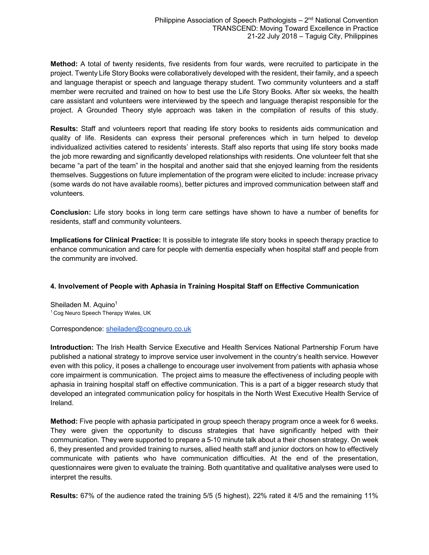**Method:** A total of twenty residents, five residents from four wards, were recruited to participate in the project. Twenty Life Story Books were collaboratively developed with the resident, their family, and a speech and language therapist or speech and language therapy student. Two community volunteers and a staff member were recruited and trained on how to best use the Life Story Books. After six weeks, the health care assistant and volunteers were interviewed by the speech and language therapist responsible for the project. A Grounded Theory style approach was taken in the compilation of results of this study.

**Results:** Staff and volunteers report that reading life story books to residents aids communication and quality of life. Residents can express their personal preferences which in turn helped to develop individualized activities catered to residents' interests. Staff also reports that using life story books made the job more rewarding and significantly developed relationships with residents. One volunteer felt that she became "a part of the team" in the hospital and another said that she enjoyed learning from the residents themselves. Suggestions on future implementation of the program were elicited to include: increase privacy (some wards do not have available rooms), better pictures and improved communication between staff and volunteers.

**Conclusion:** Life story books in long term care settings have shown to have a number of benefits for residents, staff and community volunteers.

**Implications for Clinical Practice:** It is possible to integrate life story books in speech therapy practice to enhance communication and care for people with dementia especially when hospital staff and people from the community are involved.

#### **4. Involvement of People with Aphasia in Training Hospital Staff on Effective Communication**

Sheiladen M. Aquino<sup>1</sup> <sup>1</sup> Cog Neuro Speech Therapy Wales, UK

Correspondence: sheiladen@cogneuro.co.uk

**Introduction:** The Irish Health Service Executive and Health Services National Partnership Forum have published a national strategy to improve service user involvement in the country's health service. However even with this policy, it poses a challenge to encourage user involvement from patients with aphasia whose core impairment is communication. The project aims to measure the effectiveness of including people with aphasia in training hospital staff on effective communication. This is a part of a bigger research study that developed an integrated communication policy for hospitals in the North West Executive Health Service of Ireland.

**Method:** Five people with aphasia participated in group speech therapy program once a week for 6 weeks. They were given the opportunity to discuss strategies that have significantly helped with their communication. They were supported to prepare a 5-10 minute talk about a their chosen strategy. On week 6, they presented and provided training to nurses, allied health staff and junior doctors on how to effectively communicate with patients who have communication difficulties. At the end of the presentation, questionnaires were given to evaluate the training. Both quantitative and qualitative analyses were used to interpret the results.

**Results:** 67% of the audience rated the training 5/5 (5 highest), 22% rated it 4/5 and the remaining 11%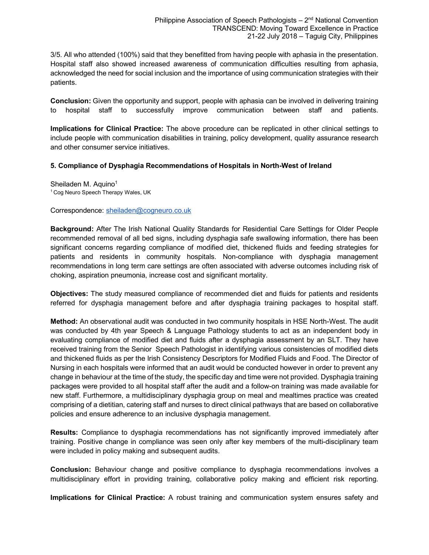3/5. All who attended (100%) said that they benefitted from having people with aphasia in the presentation. Hospital staff also showed increased awareness of communication difficulties resulting from aphasia, acknowledged the need for social inclusion and the importance of using communication strategies with their patients.

**Conclusion:** Given the opportunity and support, people with aphasia can be involved in delivering training to hospital staff to successfully improve communication between staff and patients.

**Implications for Clinical Practice:** The above procedure can be replicated in other clinical settings to include people with communication disabilities in training, policy development, quality assurance research and other consumer service initiatives.

#### **5. Compliance of Dysphagia Recommendations of Hospitals in North-West of Ireland**

Sheiladen M. Aquino<sup>1</sup> <sup>1</sup> Cog Neuro Speech Therapy Wales, UK

Correspondence: sheiladen@cogneuro.co.uk

**Background:** After The Irish National Quality Standards for Residential Care Settings for Older People recommended removal of all bed signs, including dysphagia safe swallowing information, there has been significant concerns regarding compliance of modified diet, thickened fluids and feeding strategies for patients and residents in community hospitals. Non-compliance with dysphagia management recommendations in long term care settings are often associated with adverse outcomes including risk of choking, aspiration pneumonia, increase cost and significant mortality.

**Objectives:** The study measured compliance of recommended diet and fluids for patients and residents referred for dysphagia management before and after dysphagia training packages to hospital staff.

**Method:** An observational audit was conducted in two community hospitals in HSE North-West. The audit was conducted by 4th year Speech & Language Pathology students to act as an independent body in evaluating compliance of modified diet and fluids after a dysphagia assessment by an SLT. They have received training from the Senior Speech Pathologist in identifying various consistencies of modified diets and thickened fluids as per the Irish Consistency Descriptors for Modified Fluids and Food. The Director of Nursing in each hospitals were informed that an audit would be conducted however in order to prevent any change in behaviour at the time of the study, the specific day and time were not provided. Dysphagia training packages were provided to all hospital staff after the audit and a follow-on training was made available for new staff. Furthermore, a multidisciplinary dysphagia group on meal and mealtimes practice was created comprising of a dietitian, catering staff and nurses to direct clinical pathways that are based on collaborative policies and ensure adherence to an inclusive dysphagia management.

**Results:** Compliance to dysphagia recommendations has not significantly improved immediately after training. Positive change in compliance was seen only after key members of the multi-disciplinary team were included in policy making and subsequent audits.

**Conclusion:** Behaviour change and positive compliance to dysphagia recommendations involves a multidisciplinary effort in providing training, collaborative policy making and efficient risk reporting.

**Implications for Clinical Practice:** A robust training and communication system ensures safety and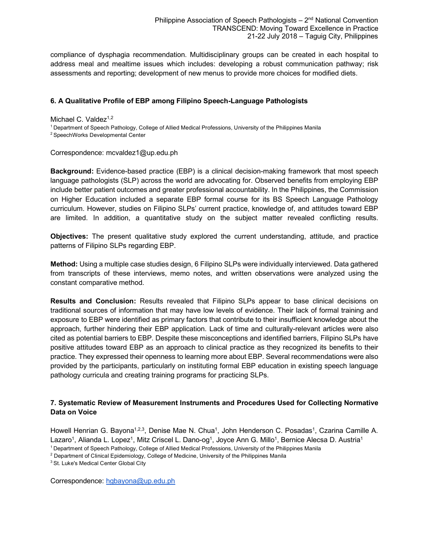compliance of dysphagia recommendation. Multidisciplinary groups can be created in each hospital to address meal and mealtime issues which includes: developing a robust communication pathway; risk assessments and reporting; development of new menus to provide more choices for modified diets.

#### **6. A Qualitative Profile of EBP among Filipino Speech-Language Pathologists**

Michael C. Valdez $1,2$ 

1 Department of Speech Pathology, College of Allied Medical Professions, University of the Philippines Manila

2 SpeechWorks Developmental Center

Correspondence: mcvaldez1@up.edu.ph

**Background:** Evidence-based practice (EBP) is a clinical decision-making framework that most speech language pathologists (SLP) across the world are advocating for. Observed benefits from employing EBP include better patient outcomes and greater professional accountability. In the Philippines, the Commission on Higher Education included a separate EBP formal course for its BS Speech Language Pathology curriculum. However, studies on Filipino SLPs' current practice, knowledge of, and attitudes toward EBP are limited. In addition, a quantitative study on the subject matter revealed conflicting results.

**Objectives:** The present qualitative study explored the current understanding, attitude, and practice patterns of Filipino SLPs regarding EBP.

**Method:** Using a multiple case studies design, 6 Filipino SLPs were individually interviewed. Data gathered from transcripts of these interviews, memo notes, and written observations were analyzed using the constant comparative method.

**Results and Conclusion:** Results revealed that Filipino SLPs appear to base clinical decisions on traditional sources of information that may have low levels of evidence. Their lack of formal training and exposure to EBP were identified as primary factors that contribute to their insufficient knowledge about the approach, further hindering their EBP application. Lack of time and culturally-relevant articles were also cited as potential barriers to EBP. Despite these misconceptions and identified barriers, Filipino SLPs have positive attitudes toward EBP as an approach to clinical practice as they recognized its benefits to their practice. They expressed their openness to learning more about EBP. Several recommendations were also provided by the participants, particularly on instituting formal EBP education in existing speech language pathology curricula and creating training programs for practicing SLPs.

# **7. Systematic Review of Measurement Instruments and Procedures Used for Collecting Normative Data on Voice**

Howell Henrian G. Bayona<sup>1,2,3</sup>, Denise Mae N. Chua<sup>1</sup>, John Henderson C. Posadas<sup>1</sup>, Czarina Camille A. Lazaro<sup>1</sup>, Alianda L. Lopez<sup>1</sup>, Mitz Criscel L. Dano-og<sup>1</sup>, Joyce Ann G. Millo<sup>1</sup>, Bernice Alecsa D. Austria<sup>1</sup> 1 Department of Speech Pathology, College of Allied Medical Professions, University of the Philippines Manila

<sup>2</sup> Department of Clinical Epidemiology, College of Medicine, University of the Philippines Manila

<sup>3</sup> St. Luke's Medical Center Global City

Correspondence: hgbayona@up.edu.ph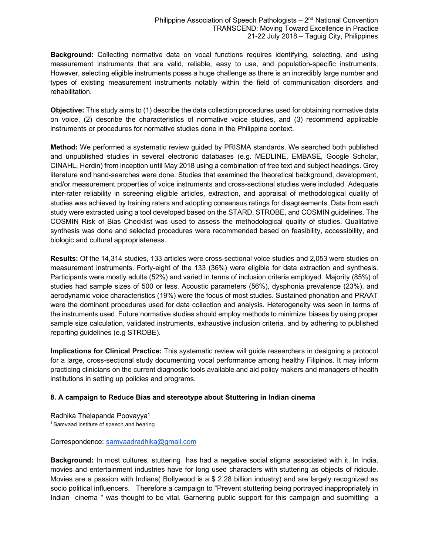**Background:** Collecting normative data on vocal functions requires identifying, selecting, and using measurement instruments that are valid, reliable, easy to use, and population-specific instruments. However, selecting eligible instruments poses a huge challenge as there is an incredibly large number and types of existing measurement instruments notably within the field of communication disorders and rehabilitation.

**Objective:** This study aims to (1) describe the data collection procedures used for obtaining normative data on voice, (2) describe the characteristics of normative voice studies, and (3) recommend applicable instruments or procedures for normative studies done in the Philippine context.

**Method:** We performed a systematic review guided by PRISMA standards. We searched both published and unpublished studies in several electronic databases (e.g. MEDLINE, EMBASE, Google Scholar, CINAHL, Herdin) from inception until May 2018 using a combination of free text and subject headings. Grey literature and hand-searches were done. Studies that examined the theoretical background, development, and/or measurement properties of voice instruments and cross-sectional studies were included. Adequate inter-rater reliability in screening eligible articles, extraction, and appraisal of methodological quality of studies was achieved by training raters and adopting consensus ratings for disagreements. Data from each study were extracted using a tool developed based on the STARD, STROBE, and COSMIN guidelines. The COSMIN Risk of Bias Checklist was used to assess the methodological quality of studies. Qualitative synthesis was done and selected procedures were recommended based on feasibility, accessibility, and biologic and cultural appropriateness.

**Results:** Of the 14,314 studies, 133 articles were cross-sectional voice studies and 2,053 were studies on measurement instruments. Forty-eight of the 133 (36%) were eligible for data extraction and synthesis. Participants were mostly adults (52%) and varied in terms of inclusion criteria employed. Majority (85%) of studies had sample sizes of 500 or less. Acoustic parameters (56%), dysphonia prevalence (23%), and aerodynamic voice characteristics (19%) were the focus of most studies. Sustained phonation and PRAAT were the dominant procedures used for data collection and analysis. Heterogeneity was seen in terms of the instruments used. Future normative studies should employ methods to minimize biases by using proper sample size calculation, validated instruments, exhaustive inclusion criteria, and by adhering to published reporting guidelines (e.g STROBE).

**Implications for Clinical Practice:** This systematic review will guide researchers in designing a protocol for a large, cross-sectional study documenting vocal performance among healthy Filipinos. It may inform practicing clinicians on the current diagnostic tools available and aid policy makers and managers of health institutions in setting up policies and programs.

#### **8. A campaign to Reduce Bias and stereotype about Stuttering in Indian cinema**

Radhika Thelapanda Poovayya<sup>1</sup>

<sup>1</sup> Samvaad institute of speech and hearing

Correspondence: samvaadradhika@gmail.com

**Background:** In most cultures, stuttering has had a negative social stigma associated with it. In India, movies and entertainment industries have for long used characters with stuttering as objects of ridicule. Movies are a passion with Indians( Bollywood is a \$ 2.28 billion industry) and are largely recognized as socio political influencers. Therefore a campaign to "Prevent stuttering being portrayed inappropriately in Indian cinema " was thought to be vital. Garnering public support for this campaign and submitting a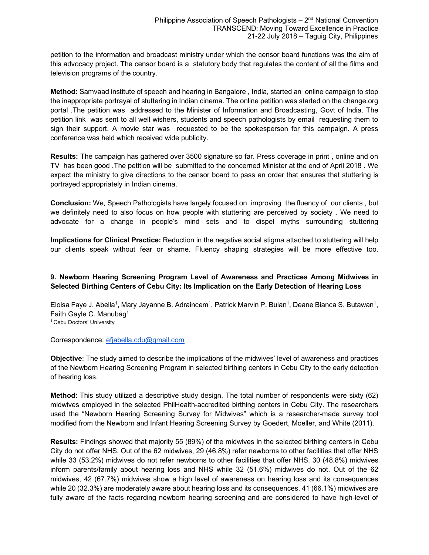petition to the information and broadcast ministry under which the censor board functions was the aim of this advocacy project. The censor board is a statutory body that regulates the content of all the films and television programs of the country.

**Method:** Samvaad institute of speech and hearing in Bangalore , India, started an online campaign to stop the inappropriate portrayal of stuttering in Indian cinema. The online petition was started on the change.org portal .The petition was addressed to the Minister of Information and Broadcasting, Govt of India. The petition link was sent to all well wishers, students and speech pathologists by email requesting them to sign their support. A movie star was requested to be the spokesperson for this campaign. A press conference was held which received wide publicity.

**Results:** The campaign has gathered over 3500 signature so far. Press coverage in print , online and on TV has been good .The petition will be submitted to the concerned Minister at the end of April 2018 . We expect the ministry to give directions to the censor board to pass an order that ensures that stuttering is portrayed appropriately in Indian cinema.

**Conclusion:** We, Speech Pathologists have largely focused on improving the fluency of our clients , but we definitely need to also focus on how people with stuttering are perceived by society . We need to advocate for a change in people's mind sets and to dispel myths surrounding stuttering

**Implications for Clinical Practice:** Reduction in the negative social stigma attached to stuttering will help our clients speak without fear or shame. Fluency shaping strategies will be more effective too.

#### **9. Newborn Hearing Screening Program Level of Awareness and Practices Among Midwives in Selected Birthing Centers of Cebu City: Its Implication on the Early Detection of Hearing Loss**

Eloisa Faye J. Abella<sup>1</sup>, Mary Jayanne B. Adraincem<sup>1</sup>, Patrick Marvin P. Bulan<sup>1</sup>, Deane Bianca S. Butawan<sup>1</sup>, Faith Gayle C. Manubag1 <sup>1</sup> Cebu Doctors' University

#### Correspondence: efjabella.cdu@gmail.com

**Objective**: The study aimed to describe the implications of the midwives' level of awareness and practices of the Newborn Hearing Screening Program in selected birthing centers in Cebu City to the early detection of hearing loss.

**Method**: This study utilized a descriptive study design. The total number of respondents were sixty (62) midwives employed in the selected PhilHealth-accredited birthing centers in Cebu City. The researchers used the "Newborn Hearing Screening Survey for Midwives" which is a researcher-made survey tool modified from the Newborn and Infant Hearing Screening Survey by Goedert, Moeller, and White (2011).

**Results:** Findings showed that majority 55 (89%) of the midwives in the selected birthing centers in Cebu City do not offer NHS. Out of the 62 midwives, 29 (46.8%) refer newborns to other facilities that offer NHS while 33 (53.2%) midwives do not refer newborns to other facilities that offer NHS. 30 (48.8%) midwives inform parents/family about hearing loss and NHS while 32 (51.6%) midwives do not. Out of the 62 midwives, 42 (67.7%) midwives show a high level of awareness on hearing loss and its consequences while 20 (32.3%) are moderately aware about hearing loss and its consequences. 41 (66.1%) midwives are fully aware of the facts regarding newborn hearing screening and are considered to have high-level of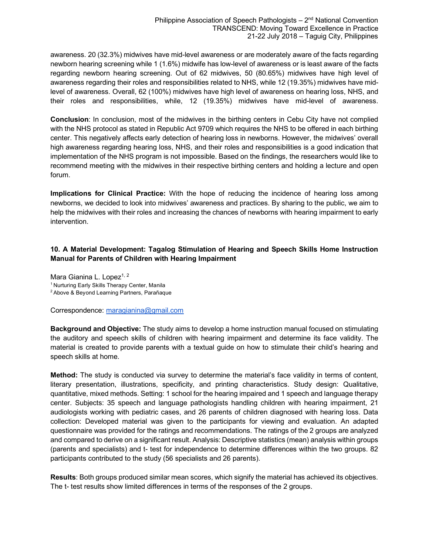awareness. 20 (32.3%) midwives have mid-level awareness or are moderately aware of the facts regarding newborn hearing screening while 1 (1.6%) midwife has low-level of awareness or is least aware of the facts regarding newborn hearing screening. Out of 62 midwives, 50 (80.65%) midwives have high level of awareness regarding their roles and responsibilities related to NHS, while 12 (19.35%) midwives have midlevel of awareness. Overall, 62 (100%) midwives have high level of awareness on hearing loss, NHS, and their roles and responsibilities, while, 12 (19.35%) midwives have mid-level of awareness.

**Conclusion**: In conclusion, most of the midwives in the birthing centers in Cebu City have not complied with the NHS protocol as stated in Republic Act 9709 which requires the NHS to be offered in each birthing center. This negatively affects early detection of hearing loss in newborns. However, the midwives' overall high awareness regarding hearing loss, NHS, and their roles and responsibilities is a good indication that implementation of the NHS program is not impossible. Based on the findings, the researchers would like to recommend meeting with the midwives in their respective birthing centers and holding a lecture and open forum.

**Implications for Clinical Practice:** With the hope of reducing the incidence of hearing loss among newborns, we decided to look into midwives' awareness and practices. By sharing to the public, we aim to help the midwives with their roles and increasing the chances of newborns with hearing impairment to early intervention.

# **10. A Material Development: Tagalog Stimulation of Hearing and Speech Skills Home Instruction Manual for Parents of Children with Hearing Impairment**

Mara Gianina L. Lopez<sup>1, 2</sup>

<sup>1</sup> Nurturing Early Skills Therapy Center, Manila

2 Above & Beyond Learning Partners, Parañaque

Correspondence: maragianina@gmail.com

**Background and Objective:** The study aims to develop a home instruction manual focused on stimulating the auditory and speech skills of children with hearing impairment and determine its face validity. The material is created to provide parents with a textual guide on how to stimulate their child's hearing and speech skills at home.

**Method:** The study is conducted via survey to determine the material's face validity in terms of content, literary presentation, illustrations, specificity, and printing characteristics. Study design: Qualitative, quantitative, mixed methods. Setting: 1 school for the hearing impaired and 1 speech and language therapy center. Subjects: 35 speech and language pathologists handling children with hearing impairment, 21 audiologists working with pediatric cases, and 26 parents of children diagnosed with hearing loss. Data collection: Developed material was given to the participants for viewing and evaluation. An adapted questionnaire was provided for the ratings and recommendations. The ratings of the 2 groups are analyzed and compared to derive on a significant result. Analysis: Descriptive statistics (mean) analysis within groups (parents and specialists) and t- test for independence to determine differences within the two groups. 82 participants contributed to the study (56 specialists and 26 parents).

**Results**: Both groups produced similar mean scores, which signify the material has achieved its objectives. The t- test results show limited differences in terms of the responses of the 2 groups.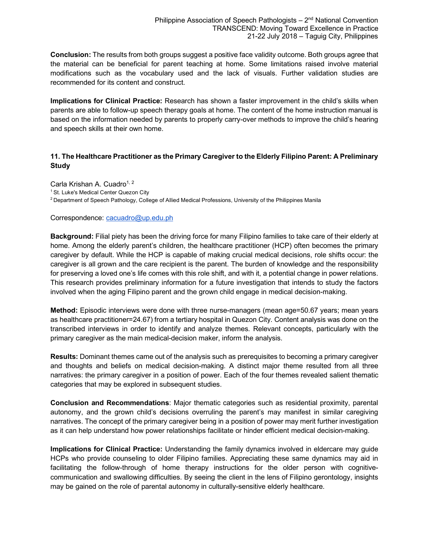**Conclusion:** The results from both groups suggest a positive face validity outcome. Both groups agree that the material can be beneficial for parent teaching at home. Some limitations raised involve material modifications such as the vocabulary used and the lack of visuals. Further validation studies are recommended for its content and construct.

**Implications for Clinical Practice:** Research has shown a faster improvement in the child's skills when parents are able to follow-up speech therapy goals at home. The content of the home instruction manual is based on the information needed by parents to properly carry-over methods to improve the child's hearing and speech skills at their own home.

# **11. The Healthcare Practitioner as the Primary Caregiver to the Elderly Filipino Parent: A Preliminary Study**

Carla Krishan A. Cuadro<sup>1, 2</sup> <sup>1</sup> St. Luke's Medical Center Quezon City 2 Department of Speech Pathology, College of Allied Medical Professions, University of the Philippines Manila

#### Correspondence: cacuadro@up.edu.ph

**Background:** Filial piety has been the driving force for many Filipino families to take care of their elderly at home. Among the elderly parent's children, the healthcare practitioner (HCP) often becomes the primary caregiver by default. While the HCP is capable of making crucial medical decisions, role shifts occur: the caregiver is all grown and the care recipient is the parent. The burden of knowledge and the responsibility for preserving a loved one's life comes with this role shift, and with it, a potential change in power relations. This research provides preliminary information for a future investigation that intends to study the factors involved when the aging Filipino parent and the grown child engage in medical decision-making.

**Method:** Episodic interviews were done with three nurse-managers (mean age=50.67 years; mean years as healthcare practitioner=24.67) from a tertiary hospital in Quezon City. Content analysis was done on the transcribed interviews in order to identify and analyze themes. Relevant concepts, particularly with the primary caregiver as the main medical-decision maker, inform the analysis.

**Results:** Dominant themes came out of the analysis such as prerequisites to becoming a primary caregiver and thoughts and beliefs on medical decision-making. A distinct major theme resulted from all three narratives: the primary caregiver in a position of power. Each of the four themes revealed salient thematic categories that may be explored in subsequent studies.

**Conclusion and Recommendations**: Major thematic categories such as residential proximity, parental autonomy, and the grown child's decisions overruling the parent's may manifest in similar caregiving narratives. The concept of the primary caregiver being in a position of power may merit further investigation as it can help understand how power relationships facilitate or hinder efficient medical decision-making.

**Implications for Clinical Practice:** Understanding the family dynamics involved in eldercare may guide HCPs who provide counseling to older Filipino families. Appreciating these same dynamics may aid in facilitating the follow-through of home therapy instructions for the older person with cognitivecommunication and swallowing difficulties. By seeing the client in the lens of Filipino gerontology, insights may be gained on the role of parental autonomy in culturally-sensitive elderly healthcare.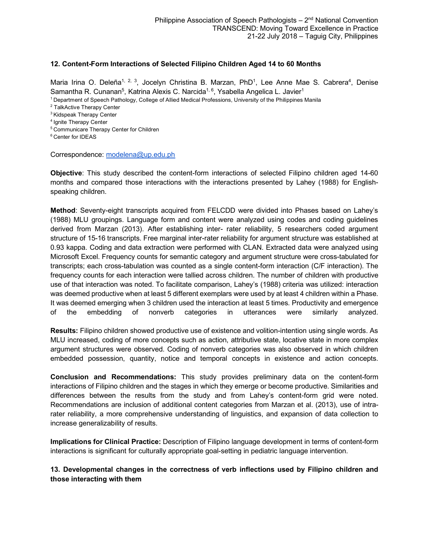#### **12. Content-Form Interactions of Selected Filipino Children Aged 14 to 60 Months**

Maria Irina O. Deleña<sup>1, 2, 3</sup>, Jocelyn Christina B. Marzan, PhD<sup>1</sup>, Lee Anne Mae S. Cabrera<sup>4</sup>, Denise Samantha R. Cunanan<sup>5</sup>, Katrina Alexis C. Narcida<sup>1, 6</sup>, Ysabella Angelica L. Javier<sup>1</sup>

1 Department of Speech Pathology, College of Allied Medical Professions, University of the Philippines Manila

<sup>2</sup> TalkActive Therapy Center

3 Kidspeak Therapy Center

4 Ignite Therapy Center

5 Communicare Therapy Center for Children

6 Center for IDEAS

Correspondence: modelena@up.edu.ph

**Objective**: This study described the content-form interactions of selected Filipino children aged 14-60 months and compared those interactions with the interactions presented by Lahey (1988) for Englishspeaking children.

**Method**: Seventy-eight transcripts acquired from FELCDD were divided into Phases based on Lahey's (1988) MLU groupings. Language form and content were analyzed using codes and coding guidelines derived from Marzan (2013). After establishing inter- rater reliability, 5 researchers coded argument structure of 15-16 transcripts. Free marginal inter-rater reliability for argument structure was established at 0.93 kappa. Coding and data extraction were performed with CLAN. Extracted data were analyzed using Microsoft Excel. Frequency counts for semantic category and argument structure were cross-tabulated for transcripts; each cross-tabulation was counted as a single content-form interaction (C/F interaction). The frequency counts for each interaction were tallied across children. The number of children with productive use of that interaction was noted. To facilitate comparison, Lahey's (1988) criteria was utilized: interaction was deemed productive when at least 5 different exemplars were used by at least 4 children within a Phase. It was deemed emerging when 3 children used the interaction at least 5 times. Productivity and emergence of the embedding of nonverb categories in utterances were similarly analyzed.

**Results:** Filipino children showed productive use of existence and volition-intention using single words. As MLU increased, coding of more concepts such as action, attributive state, locative state in more complex argument structures were observed. Coding of nonverb categories was also observed in which children embedded possession, quantity, notice and temporal concepts in existence and action concepts.

**Conclusion and Recommendations:** This study provides preliminary data on the content-form interactions of Filipino children and the stages in which they emerge or become productive. Similarities and differences between the results from the study and from Lahey's content-form grid were noted. Recommendations are inclusion of additional content categories from Marzan et al. (2013), use of intrarater reliability, a more comprehensive understanding of linguistics, and expansion of data collection to increase generalizability of results.

**Implications for Clinical Practice:** Description of Filipino language development in terms of content-form interactions is significant for culturally appropriate goal-setting in pediatric language intervention.

# **13. Developmental changes in the correctness of verb inflections used by Filipino children and those interacting with them**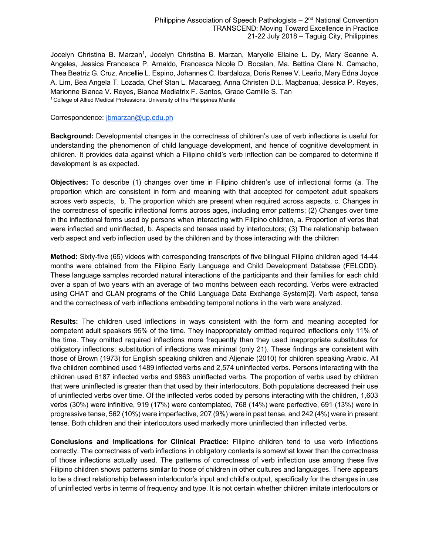Jocelyn Christina B. Marzan<sup>1</sup>, Jocelyn Christina B. Marzan, Maryelle Ellaine L. Dy, Mary Seanne A. Angeles, Jessica Francesca P. Arnaldo, Francesca Nicole D. Bocalan, Ma. Bettina Clare N. Camacho, Thea Beatriz G. Cruz, Ancellie L. Espino, Johannes C. Ibardaloza, Doris Renee V. Leaño, Mary Edna Joyce A. Lim, Bea Angela T. Lozada, Chef Stan L. Macaraeg, Anna Christen D.L. Magbanua, Jessica P. Reyes, Marionne Bianca V. Reyes, Bianca Mediatrix F. Santos, Grace Camille S. Tan <sup>1</sup> College of Allied Medical Professions, University of the Philippines Manila

#### Correspondence: jbmarzan@up.edu.ph

**Background:** Developmental changes in the correctness of children's use of verb inflections is useful for understanding the phenomenon of child language development, and hence of cognitive development in children. It provides data against which a Filipino child's verb inflection can be compared to determine if development is as expected.

**Objectives:** To describe (1) changes over time in Filipino children's use of inflectional forms (a. The proportion which are consistent in form and meaning with that accepted for competent adult speakers across verb aspects, b. The proportion which are present when required across aspects, c. Changes in the correctness of specific inflectional forms across ages, including error patterns; (2) Changes over time in the inflectional forms used by persons when interacting with Filipino children, a. Proportion of verbs that were inflected and uninflected, b. Aspects and tenses used by interlocutors; (3) The relationship between verb aspect and verb inflection used by the children and by those interacting with the children

**Method:** Sixty-five (65) videos with corresponding transcripts of five bilingual Filipino children aged 14-44 months were obtained from the Filipino Early Language and Child Development Database (FELCDD). These language samples recorded natural interactions of the participants and their families for each child over a span of two years with an average of two months between each recording. Verbs were extracted using CHAT and CLAN programs of the Child Language Data Exchange System[2]. Verb aspect, tense and the correctness of verb inflections embedding temporal notions in the verb were analyzed.

**Results:** The children used inflections in ways consistent with the form and meaning accepted for competent adult speakers 95% of the time. They inappropriately omitted required inflections only 11% of the time. They omitted required inflections more frequently than they used inappropriate substitutes for obligatory inflections; substitution of inflections was minimal (only 21). These findings are consistent with those of Brown (1973) for English speaking children and Aljenaie (2010) for children speaking Arabic. All five children combined used 1489 inflected verbs and 2,574 uninflected verbs. Persons interacting with the children used 6187 inflected verbs and 9863 uninflected verbs. The proportion of verbs used by children that were uninflected is greater than that used by their interlocutors. Both populations decreased their use of uninflected verbs over time. Of the inflected verbs coded by persons interacting with the children, 1,603 verbs (30%) were infinitive, 919 (17%) were contemplated, 768 (14%) were perfective, 691 (13%) were in progressive tense, 562 (10%) were imperfective, 207 (9%) were in past tense, and 242 (4%) were in present tense. Both children and their interlocutors used markedly more uninflected than inflected verbs.

**Conclusions and Implications for Clinical Practice:** Filipino children tend to use verb inflections correctly. The correctness of verb inflections in obligatory contexts is somewhat lower than the correctness of those inflections actually used. The patterns of correctness of verb inflection use among these five Filipino children shows patterns similar to those of children in other cultures and languages. There appears to be a direct relationship between interlocutor's input and child's output, specifically for the changes in use of uninflected verbs in terms of frequency and type. It is not certain whether children imitate interlocutors or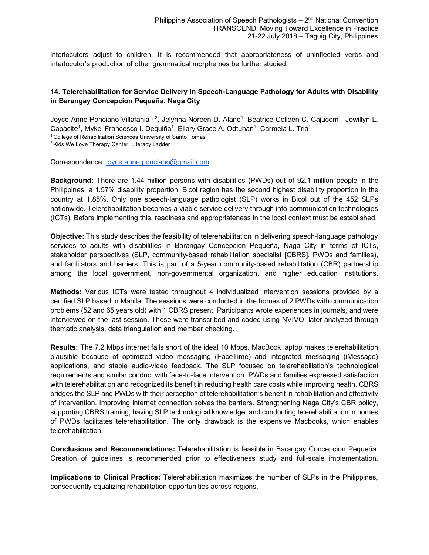interlocutors adjust to children. It is recommended that appropriateness of uninflected verbs and interlocutor's production of other grammatical morphemes be further studied.

# **14. Telerehabilitation for Service Delivery in Speech-Language Pathology for Adults with Disability in Barangay Concepcion Pequeña, Naga City**

Joyce Anne Ponciano-Villafania<sup>1, 2</sup>, Jelynna Noreen D. Alano<sup>1</sup>, Beatrice Colleen C. Cajucom<sup>1</sup>, Jowillyn L. Capacite<sup>1</sup>, Mykel Francesco I. Dequiña<sup>1</sup>, Ellary Grace A. Odtuhan<sup>1</sup>, Carmela L. Tria<sup>1</sup>

<sup>1</sup> College of Rehabilitation Sciences University of Santo Tomas

<sup>2</sup> Kids We Love Therapy Center, Literacy Ladder

Correspondence: joyce.anne.ponciano@gmail.com

**Background:** There are 1.44 million persons with disabilities (PWDs) out of 92.1 million people in the Philippines; a 1.57% disability proportion. Bicol region has the second highest disability proportion in the country at 1.85%. Only one speech-language pathologist (SLP) works in Bicol out of the 452 SLPs nationwide. Telerehabilitation becomes a viable service delivery through info-communication technologies (ICTs). Before implementing this, readiness and appropriateness in the local context must be established.

**Objective:** This study describes the feasibility of telerehabilitation in delivering speech-language pathology services to adults with disabilities in Barangay Concepcion Pequeña, Naga City in terms of ICTs, stakeholder perspectives (SLP, community-based rehabilitation specialist [CBRS], PWDs and families), and facilitators and barriers. This is part of a 5-year community-based rehabilitation (CBR) partnership among the local government, non-governmental organization, and higher education institutions.

**Methods:** Various ICTs were tested throughout 4 individualized intervention sessions provided by a certified SLP based in Manila. The sessions were conducted in the homes of 2 PWDs with communication problems (52 and 65 years old) with 1 CBRS present. Participants wrote experiences in journals, and were interviewed on the last session. These were transcribed and coded using NVIVO, later analyzed through thematic analysis, data triangulation and member checking.

**Results:** The 7.2 Mbps internet falls short of the ideal 10 Mbps. MacBook laptop makes telerehabilitation plausible because of optimized video messaging (FaceTime) and integrated messaging (iMessage) applications, and stable audio-video feedback. The SLP focused on telerehabiliation's technological requirements and similar conduct with face-to-face intervention. PWDs and families expressed satisfaction with telerehabilitation and recognized its benefit in reducing health care costs while improving health. CBRS bridges the SLP and PWDs with their perception of telerehabilitation's benefit in rehabilitation and effectivity of intervention. Improving internet connection solves the barriers. Strengthening Naga City's CBR policy, supporting CBRS training, having SLP technological knowledge, and conducting telerehabilitation in homes of PWDs facilitates telerehabilitation. The only drawback is the expensive Macbooks, which enables telerehabilitation.

**Conclusions and Recommendations:** Telerehabilitation is feasible in Barangay Concepcion Pequeña. Creation of guidelines is recommended prior to effectiveness study and full-scale implementation.

**Implications to Clinical Practice:** Telerehabilitation maximizes the number of SLPs in the Philippines, consequently equalizing rehabilitation opportunities across regions.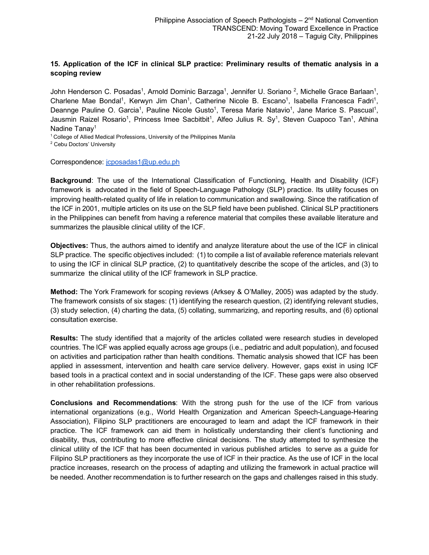# **15. Application of the ICF in clinical SLP practice: Preliminary results of thematic analysis in a scoping review**

John Henderson C. Posadas<sup>1</sup>, Arnold Dominic Barzaga<sup>1</sup>, Jennifer U. Soriano <sup>2</sup>, Michelle Grace Barlaan<sup>1</sup>, Charlene Mae Bondal<sup>1</sup>, Kerwyn Jim Chan<sup>1</sup>, Catherine Nicole B. Escano<sup>1</sup>, Isabella Francesca Fadri<sup>1</sup>, Deannge Pauline O. Garcia<sup>1</sup>, Pauline Nicole Gusto<sup>1</sup>, Teresa Marie Natavio<sup>1</sup>, Jane Marice S. Pascual<sup>1</sup>, Jausmin Raizel Rosario<sup>1</sup>, Princess Imee Sacbitbit<sup>1</sup>, Alfeo Julius R. Sy<sup>1</sup>, Steven Cuapoco Tan<sup>1</sup>, Athina Nadine Tanay<sup>1</sup>

<sup>1</sup> College of Allied Medical Professions, University of the Philippines Manila

<sup>2</sup> Cebu Doctors' University

Correspondence: jcposadas1@up.edu.ph

**Background**: The use of the International Classification of Functioning, Health and Disability (ICF) framework is advocated in the field of Speech-Language Pathology (SLP) practice. Its utility focuses on improving health-related quality of life in relation to communication and swallowing. Since the ratification of the ICF in 2001, multiple articles on its use on the SLP field have been published. Clinical SLP practitioners in the Philippines can benefit from having a reference material that compiles these available literature and summarizes the plausible clinical utility of the ICF.

**Objectives:** Thus, the authors aimed to identify and analyze literature about the use of the ICF in clinical SLP practice. The specific objectives included: (1) to compile a list of available reference materials relevant to using the ICF in clinical SLP practice, (2) to quantitatively describe the scope of the articles, and (3) to summarize the clinical utility of the ICF framework in SLP practice.

**Method:** The York Framework for scoping reviews (Arksey & O'Malley, 2005) was adapted by the study. The framework consists of six stages: (1) identifying the research question, (2) identifying relevant studies, (3) study selection, (4) charting the data, (5) collating, summarizing, and reporting results, and (6) optional consultation exercise.

**Results:** The study identified that a majority of the articles collated were research studies in developed countries. The ICF was applied equally across age groups (i.e., pediatric and adult population), and focused on activities and participation rather than health conditions. Thematic analysis showed that ICF has been applied in assessment, intervention and health care service delivery. However, gaps exist in using ICF based tools in a practical context and in social understanding of the ICF. These gaps were also observed in other rehabilitation professions.

**Conclusions and Recommendations**: With the strong push for the use of the ICF from various international organizations (e.g., World Health Organization and American Speech-Language-Hearing Association), Filipino SLP practitioners are encouraged to learn and adapt the ICF framework in their practice. The ICF framework can aid them in holistically understanding their client's functioning and disability, thus, contributing to more effective clinical decisions. The study attempted to synthesize the clinical utility of the ICF that has been documented in various published articles to serve as a guide for Filipino SLP practitioners as they incorporate the use of ICF in their practice. As the use of ICF in the local practice increases, research on the process of adapting and utilizing the framework in actual practice will be needed. Another recommendation is to further research on the gaps and challenges raised in this study.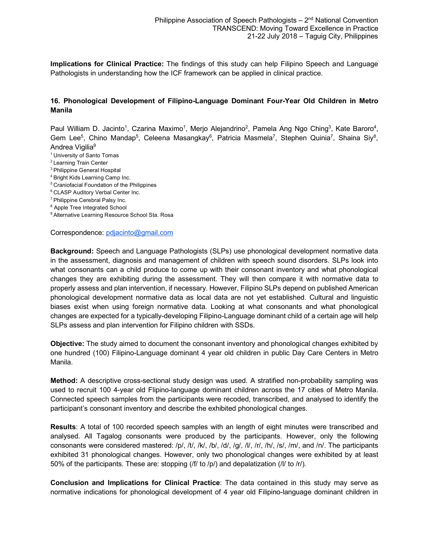**Implications for Clinical Practice:** The findings of this study can help Filipino Speech and Language Pathologists in understanding how the ICF framework can be applied in clinical practice.

# **16. Phonological Development of Filipino-Language Dominant Four-Year Old Children in Metro Manila**

Paul William D. Jacinto<sup>1</sup>, Czarina Maximo<sup>1</sup>, Merjo Alejandrino<sup>2</sup>, Pamela Ang Ngo Ching<sup>3</sup>, Kate Baroro<sup>4</sup>, Gem Lee<sup>5</sup>, Chino Mandap<sup>5</sup>, Celeena Masangkay<sup>6</sup>, Patricia Masmela<sup>7</sup>, Stephen Quinia<sup>7</sup>, Shaina Siy<sup>8</sup>, Andrea Vigilia<sup>9</sup>

- 1 University of Santo Tomas
- 2 Learning Train Center
- 3 Philippine General Hospital
- 4 Bright Kids Learning Camp Inc.
- 5 Craniofacial Foundation of the Philippines
- 6 CLASP Auditory Verbal Center Inc.
- 7 Philippine Cerebral Palsy Inc.
- <sup>8</sup> Apple Tree Integrated School
- <sup>9</sup> Alternative Learning Resource School Sta. Rosa

Correspondence: pdjacinto@gmail.com

**Background:** Speech and Language Pathologists (SLPs) use phonological development normative data in the assessment, diagnosis and management of children with speech sound disorders. SLPs look into what consonants can a child produce to come up with their consonant inventory and what phonological changes they are exhibiting during the assessment. They will then compare it with normative data to properly assess and plan intervention, if necessary. However, Filipino SLPs depend on published American phonological development normative data as local data are not yet established. Cultural and linguistic biases exist when using foreign normative data. Looking at what consonants and what phonological changes are expected for a typically-developing Filipino-Language dominant child of a certain age will help SLPs assess and plan intervention for Filipino children with SSDs.

**Objective:** The study aimed to document the consonant inventory and phonological changes exhibited by one hundred (100) Filipino-Language dominant 4 year old children in public Day Care Centers in Metro Manila.

**Method:** A descriptive cross-sectional study design was used. A stratified non-probability sampling was used to recruit 100 4-year old Flipino-language dominant children across the 17 cities of Metro Manila. Connected speech samples from the participants were recoded, transcribed, and analysed to identify the participant's consonant inventory and describe the exhibited phonological changes.

**Results**: A total of 100 recorded speech samples with an length of eight minutes were transcribed and analysed. All Tagalog consonants were produced by the participants. However, only the following consonants were considered mastered: /p/, /t/, /k/, /b/, /d/, /g/, /l/, /r/, /h/, /s/, /m/, and /n/. The participants exhibited 31 phonological changes. However, only two phonological changes were exhibited by at least 50% of the participants. These are: stopping (/f/ to /p/) and depalatization (/l/ to /r/).

**Conclusion and Implications for Clinical Practice**: The data contained in this study may serve as normative indications for phonological development of 4 year old Filipino-language dominant children in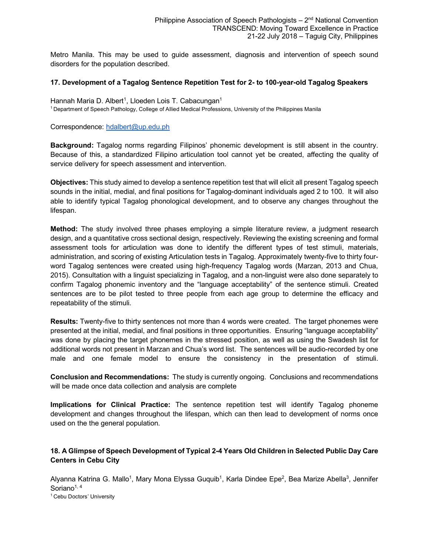Metro Manila. This may be used to guide assessment, diagnosis and intervention of speech sound disorders for the population described.

#### **17. Development of a Tagalog Sentence Repetition Test for 2- to 100-year-old Tagalog Speakers**

Hannah Maria D. Albert<sup>1</sup>, Lloeden Lois T. Cabacungan<sup>1</sup> 1 Department of Speech Pathology, College of Allied Medical Professions, University of the Philippines Manila

Correspondence: hdalbert@up.edu.ph

**Background:** Tagalog norms regarding Filipinos' phonemic development is still absent in the country. Because of this, a standardized Filipino articulation tool cannot yet be created, affecting the quality of service delivery for speech assessment and intervention.

**Objectives:** This study aimed to develop a sentence repetition test that will elicit all present Tagalog speech sounds in the initial, medial, and final positions for Tagalog-dominant individuals aged 2 to 100. It will also able to identify typical Tagalog phonological development, and to observe any changes throughout the lifespan.

**Method:** The study involved three phases employing a simple literature review, a judgment research design, and a quantitative cross sectional design, respectively. Reviewing the existing screening and formal assessment tools for articulation was done to identify the different types of test stimuli, materials, administration, and scoring of existing Articulation tests in Tagalog. Approximately twenty-five to thirty fourword Tagalog sentences were created using high-frequency Tagalog words (Marzan, 2013 and Chua, 2015). Consultation with a linguist specializing in Tagalog, and a non-linguist were also done separately to confirm Tagalog phonemic inventory and the "language acceptability" of the sentence stimuli. Created sentences are to be pilot tested to three people from each age group to determine the efficacy and repeatability of the stimuli.

**Results:** Twenty-five to thirty sentences not more than 4 words were created. The target phonemes were presented at the initial, medial, and final positions in three opportunities. Ensuring "language acceptability" was done by placing the target phonemes in the stressed position, as well as using the Swadesh list for additional words not present in Marzan and Chua's word list. The sentences will be audio-recorded by one male and one female model to ensure the consistency in the presentation of stimuli.

**Conclusion and Recommendations:** The study is currently ongoing. Conclusions and recommendations will be made once data collection and analysis are complete

**Implications for Clinical Practice:** The sentence repetition test will identify Tagalog phoneme development and changes throughout the lifespan, which can then lead to development of norms once used on the the general population.

#### **18. A Glimpse of Speech Development of Typical 2-4 Years Old Children in Selected Public Day Care Centers in Cebu City**

Alyanna Katrina G. Mallo<sup>1</sup>, Mary Mona Elyssa Guquib<sup>1</sup>, Karla Dindee Epe<sup>2</sup>, Bea Marize Abella<sup>3</sup>, Jennifer Soriano<sup>1, 4</sup>

<sup>1</sup> Cebu Doctors' University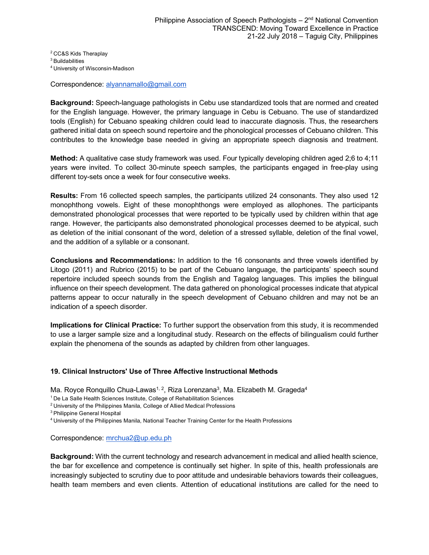2 CC&S Kids Theraplay

3 Buildabilities

4 University of Wisconsin-Madison

Correspondence: alyannamallo@gmail.com

**Background:** Speech-language pathologists in Cebu use standardized tools that are normed and created for the English language. However, the primary language in Cebu is Cebuano. The use of standardized tools (English) for Cebuano speaking children could lead to inaccurate diagnosis. Thus, the researchers gathered initial data on speech sound repertoire and the phonological processes of Cebuano children. This contributes to the knowledge base needed in giving an appropriate speech diagnosis and treatment.

**Method:** A qualitative case study framework was used. Four typically developing children aged 2;6 to 4;11 years were invited. To collect 30-minute speech samples, the participants engaged in free-play using different toy-sets once a week for four consecutive weeks.

**Results:** From 16 collected speech samples, the participants utilized 24 consonants. They also used 12 monophthong vowels. Eight of these monophthongs were employed as allophones. The participants demonstrated phonological processes that were reported to be typically used by children within that age range. However, the participants also demonstrated phonological processes deemed to be atypical, such as deletion of the initial consonant of the word, deletion of a stressed syllable, deletion of the final vowel, and the addition of a syllable or a consonant.

**Conclusions and Recommendations:** In addition to the 16 consonants and three vowels identified by Litogo (2011) and Rubrico (2015) to be part of the Cebuano language, the participants' speech sound repertoire included speech sounds from the English and Tagalog languages. This implies the bilingual influence on their speech development. The data gathered on phonological processes indicate that atypical patterns appear to occur naturally in the speech development of Cebuano children and may not be an indication of a speech disorder.

**Implications for Clinical Practice:** To further support the observation from this study, it is recommended to use a larger sample size and a longitudinal study. Research on the effects of bilingualism could further explain the phenomena of the sounds as adapted by children from other languages.

# **19. Clinical Instructors' Use of Three Affective Instructional Methods**

Ma. Royce Ronquillo Chua-Lawas<sup>1, 2</sup>, Riza Lorenzana<sup>3</sup>, Ma. Elizabeth M. Grageda<sup>4</sup>

<sup>1</sup> De La Salle Health Sciences Institute, College of Rehabilitation Sciences

2 University of the Philippines Manila, College of Allied Medical Professions

3 Philippine General Hospital

4 University of the Philippines Manila, National Teacher Training Center for the Health Professions

Correspondence: mrchua2@up.edu.ph

**Background:** With the current technology and research advancement in medical and allied health science, the bar for excellence and competence is continually set higher. In spite of this, health professionals are increasingly subjected to scrutiny due to poor attitude and undesirable behaviors towards their colleagues, health team members and even clients. Attention of educational institutions are called for the need to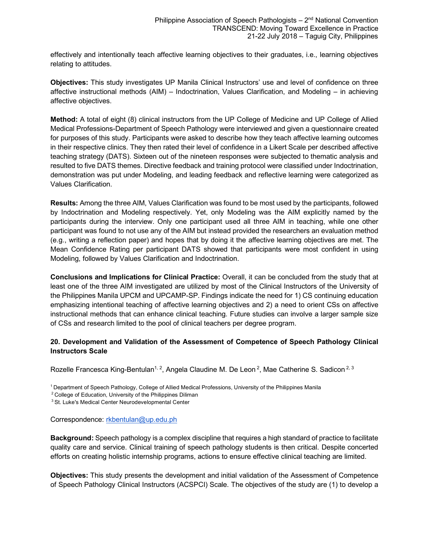effectively and intentionally teach affective learning objectives to their graduates, i.e., learning objectives relating to attitudes.

**Objectives:** This study investigates UP Manila Clinical Instructors' use and level of confidence on three affective instructional methods (AIM) – Indoctrination, Values Clarification, and Modeling – in achieving affective objectives.

**Method:** A total of eight (8) clinical instructors from the UP College of Medicine and UP College of Allied Medical Professions-Department of Speech Pathology were interviewed and given a questionnaire created for purposes of this study. Participants were asked to describe how they teach affective learning outcomes in their respective clinics. They then rated their level of confidence in a Likert Scale per described affective teaching strategy (DATS). Sixteen out of the nineteen responses were subjected to thematic analysis and resulted to five DATS themes. Directive feedback and training protocol were classified under Indoctrination, demonstration was put under Modeling, and leading feedback and reflective learning were categorized as Values Clarification.

**Results:** Among the three AIM, Values Clarification was found to be most used by the participants, followed by Indoctrination and Modeling respectively. Yet, only Modeling was the AIM explicitly named by the participants during the interview. Only one participant used all three AIM in teaching, while one other participant was found to not use any of the AIM but instead provided the researchers an evaluation method (e.g., writing a reflection paper) and hopes that by doing it the affective learning objectives are met. The Mean Confidence Rating per participant DATS showed that participants were most confident in using Modeling, followed by Values Clarification and Indoctrination.

**Conclusions and Implications for Clinical Practice:** Overall, it can be concluded from the study that at least one of the three AIM investigated are utilized by most of the Clinical Instructors of the University of the Philippines Manila UPCM and UPCAMP-SP. Findings indicate the need for 1) CS continuing education emphasizing intentional teaching of affective learning objectives and 2) a need to orient CSs on affective instructional methods that can enhance clinical teaching. Future studies can involve a larger sample size of CSs and research limited to the pool of clinical teachers per degree program.

# **20. Development and Validation of the Assessment of Competence of Speech Pathology Clinical Instructors Scale**

Rozelle Francesca King-Bentulan<sup>1, 2</sup>, Angela Claudine M. De Leon <sup>2</sup>, Mae Catherine S. Sadicon <sup>2, 3</sup>

<sup>1</sup> Department of Speech Pathology, College of Allied Medical Professions, University of the Philippines Manila

 $2^2$  College of Education, University of the Philippines Diliman

<sup>3</sup> St. Luke's Medical Center Neurodevelopmental Center

Correspondence: rkbentulan@up.edu.ph

**Background:** Speech pathology is a complex discipline that requires a high standard of practice to facilitate quality care and service. Clinical training of speech pathology students is then critical. Despite concerted efforts on creating holistic internship programs, actions to ensure effective clinical teaching are limited.

**Objectives:** This study presents the development and initial validation of the Assessment of Competence of Speech Pathology Clinical Instructors (ACSPCI) Scale. The objectives of the study are (1) to develop a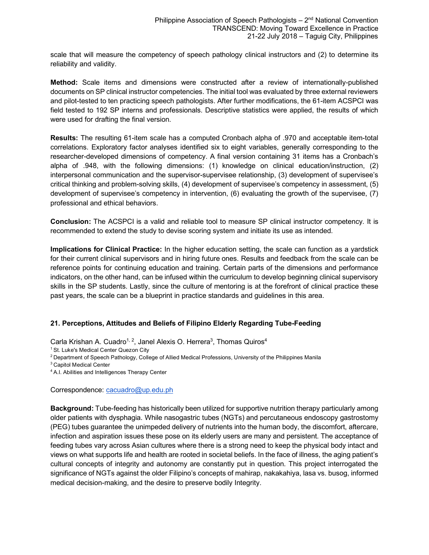scale that will measure the competency of speech pathology clinical instructors and (2) to determine its reliability and validity.

**Method:** Scale items and dimensions were constructed after a review of internationally-published documents on SP clinical instructor competencies. The initial tool was evaluated by three external reviewers and pilot-tested to ten practicing speech pathologists. After further modifications, the 61-item ACSPCI was field tested to 192 SP interns and professionals. Descriptive statistics were applied, the results of which were used for drafting the final version.

**Results:** The resulting 61-item scale has a computed Cronbach alpha of .970 and acceptable item-total correlations. Exploratory factor analyses identified six to eight variables, generally corresponding to the researcher-developed dimensions of competency. A final version containing 31 items has a Cronbach's alpha of .948, with the following dimensions: (1) knowledge on clinical education/instruction, (2) interpersonal communication and the supervisor-supervisee relationship, (3) development of supervisee's critical thinking and problem-solving skills, (4) development of supervisee's competency in assessment, (5) development of supervisee's competency in intervention, (6) evaluating the growth of the supervisee, (7) professional and ethical behaviors.

**Conclusion:** The ACSPCI is a valid and reliable tool to measure SP clinical instructor competency. It is recommended to extend the study to devise scoring system and initiate its use as intended.

**Implications for Clinical Practice:** In the higher education setting, the scale can function as a yardstick for their current clinical supervisors and in hiring future ones. Results and feedback from the scale can be reference points for continuing education and training. Certain parts of the dimensions and performance indicators, on the other hand, can be infused within the curriculum to develop beginning clinical supervisory skills in the SP students. Lastly, since the culture of mentoring is at the forefront of clinical practice these past years, the scale can be a blueprint in practice standards and guidelines in this area.

#### **21. Perceptions, Attitudes and Beliefs of Filipino Elderly Regarding Tube-Feeding**

Carla Krishan A. Cuadro<sup>1, 2</sup>, Janel Alexis O. Herrera<sup>3</sup>, Thomas Quiros<sup>4</sup>

<sup>1</sup> St. Luke's Medical Center Quezon City

2 Department of Speech Pathology, College of Allied Medical Professions, University of the Philippines Manila

3 Capitol Medical Center

4 A.I. Abilities and Intelligences Therapy Center

Correspondence: cacuadro@up.edu.ph

**Background:** Tube-feeding has historically been utilized for supportive nutrition therapy particularly among older patients with dysphagia. While nasogastric tubes (NGTs) and percutaneous endoscopy gastrostomy (PEG) tubes guarantee the unimpeded delivery of nutrients into the human body, the discomfort, aftercare, infection and aspiration issues these pose on its elderly users are many and persistent. The acceptance of feeding tubes vary across Asian cultures where there is a strong need to keep the physical body intact and views on what supports life and health are rooted in societal beliefs. In the face of illness, the aging patient's cultural concepts of integrity and autonomy are constantly put in question. This project interrogated the significance of NGTs against the older Filipino's concepts of mahirap, nakakahiya, lasa vs. busog, informed medical decision-making, and the desire to preserve bodily Integrity.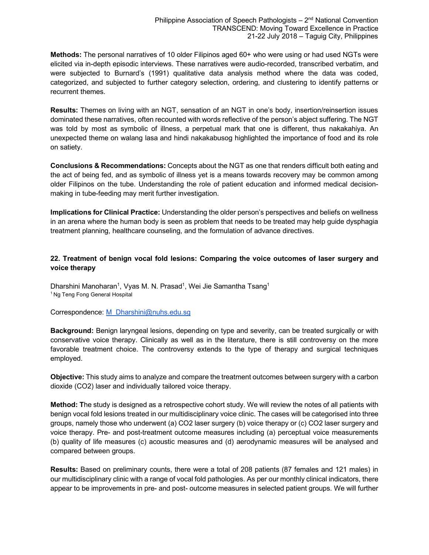**Methods:** The personal narratives of 10 older Filipinos aged 60+ who were using or had used NGTs were elicited via in-depth episodic interviews. These narratives were audio-recorded, transcribed verbatim, and were subjected to Burnard's (1991) qualitative data analysis method where the data was coded, categorized, and subjected to further category selection, ordering, and clustering to identify patterns or recurrent themes.

**Results:** Themes on living with an NGT, sensation of an NGT in one's body, insertion/reinsertion issues dominated these narratives, often recounted with words reflective of the person's abject suffering. The NGT was told by most as symbolic of illness, a perpetual mark that one is different, thus nakakahiya. An unexpected theme on walang lasa and hindi nakakabusog highlighted the importance of food and its role on satiety.

**Conclusions & Recommendations:** Concepts about the NGT as one that renders difficult both eating and the act of being fed, and as symbolic of illness yet is a means towards recovery may be common among older Filipinos on the tube. Understanding the role of patient education and informed medical decisionmaking in tube-feeding may merit further investigation.

**Implications for Clinical Practice:** Understanding the older person's perspectives and beliefs on wellness in an arena where the human body is seen as problem that needs to be treated may help guide dysphagia treatment planning, healthcare counseling, and the formulation of advance directives.

# **22. Treatment of benign vocal fold lesions: Comparing the voice outcomes of laser surgery and voice therapy**

Dharshini Manoharan<sup>1</sup>, Vyas M. N. Prasad<sup>1</sup>, Wei Jie Samantha Tsang<sup>1</sup> <sup>1</sup> Ng Teng Fong General Hospital

#### Correspondence: M\_Dharshini@nuhs.edu.sg

**Background:** Benign laryngeal lesions, depending on type and severity, can be treated surgically or with conservative voice therapy. Clinically as well as in the literature, there is still controversy on the more favorable treatment choice. The controversy extends to the type of therapy and surgical techniques employed.

**Objective:** This study aims to analyze and compare the treatment outcomes between surgery with a carbon dioxide (CO2) laser and individually tailored voice therapy.

**Method: T**he study is designed as a retrospective cohort study. We will review the notes of all patients with benign vocal fold lesions treated in our multidisciplinary voice clinic. The cases will be categorised into three groups, namely those who underwent (a) CO2 laser surgery (b) voice therapy or (c) CO2 laser surgery and voice therapy. Pre- and post-treatment outcome measures including (a) perceptual voice measurements (b) quality of life measures (c) acoustic measures and (d) aerodynamic measures will be analysed and compared between groups.

**Results:** Based on preliminary counts, there were a total of 208 patients (87 females and 121 males) in our multidisciplinary clinic with a range of vocal fold pathologies. As per our monthly clinical indicators, there appear to be improvements in pre- and post- outcome measures in selected patient groups. We will further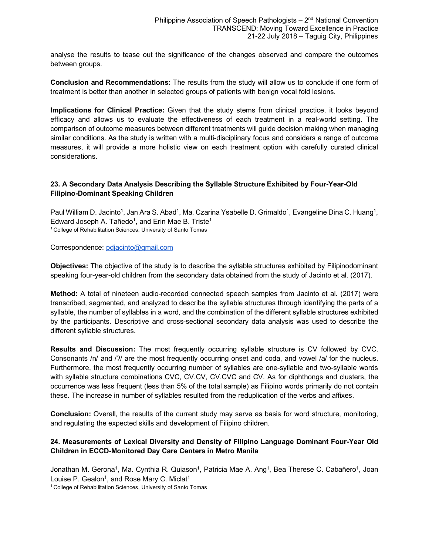analyse the results to tease out the significance of the changes observed and compare the outcomes between groups.

**Conclusion and Recommendations:** The results from the study will allow us to conclude if one form of treatment is better than another in selected groups of patients with benign vocal fold lesions.

**Implications for Clinical Practice:** Given that the study stems from clinical practice, it looks beyond efficacy and allows us to evaluate the effectiveness of each treatment in a real-world setting. The comparison of outcome measures between different treatments will guide decision making when managing similar conditions. As the study is written with a multi-disciplinary focus and considers a range of outcome measures, it will provide a more holistic view on each treatment option with carefully curated clinical considerations.

# **23. A Secondary Data Analysis Describing the Syllable Structure Exhibited by Four-Year-Old Filipino-Dominant Speaking Children**

Paul William D. Jacinto<sup>1</sup>, Jan Ara S. Abad<sup>1</sup>, Ma. Czarina Ysabelle D. Grimaldo<sup>1</sup>, Evangeline Dina C. Huang<sup>1</sup>, Edward Joseph A. Tañedo<sup>1</sup>, and Erin Mae B. Triste<sup>1</sup> <sup>1</sup> College of Rehabilitation Sciences, University of Santo Tomas

Correspondence: pdjacinto@gmail.com

**Objectives:** The objective of the study is to describe the syllable structures exhibited by Filipinodominant speaking four-year-old children from the secondary data obtained from the study of Jacinto et al. (2017).

**Method:** A total of nineteen audio-recorded connected speech samples from Jacinto et al. (2017) were transcribed, segmented, and analyzed to describe the syllable structures through identifying the parts of a syllable, the number of syllables in a word, and the combination of the different syllable structures exhibited by the participants. Descriptive and cross-sectional secondary data analysis was used to describe the different syllable structures.

**Results and Discussion:** The most frequently occurring syllable structure is CV followed by CVC. Consonants /n/ and /?/ are the most frequently occurring onset and coda, and vowel /a/ for the nucleus. Furthermore, the most frequently occurring number of syllables are one-syllable and two-syllable words with syllable structure combinations CVC, CV.CV, CV.CVC and CV. As for diphthongs and clusters, the occurrence was less frequent (less than 5% of the total sample) as Filipino words primarily do not contain these. The increase in number of syllables resulted from the reduplication of the verbs and affixes.

**Conclusion:** Overall, the results of the current study may serve as basis for word structure, monitoring, and regulating the expected skills and development of Filipino children.

# **24. Measurements of Lexical Diversity and Density of Filipino Language Dominant Four-Year Old Children in ECCD-Monitored Day Care Centers in Metro Manila**

Jonathan M. Gerona<sup>1</sup>, Ma. Cynthia R. Quiason<sup>1</sup>, Patricia Mae A. Ang<sup>1</sup>, Bea Therese C. Cabañero<sup>1</sup>, Joan Louise P. Gealon<sup>1</sup>, and Rose Mary C. Miclat<sup>1</sup>

<sup>1</sup> College of Rehabilitation Sciences, University of Santo Tomas